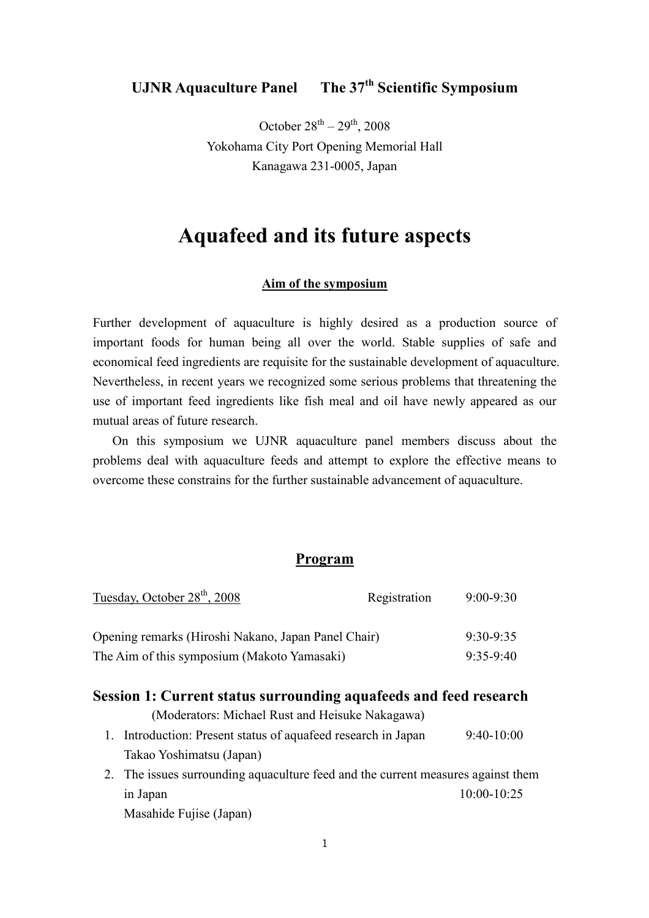## **UJNR Aquaculture Panel The 37th Scientific Symposium**

October  $28^{th} - 29^{th}$ , 2008 Yokohama City Port Opening Memorial Hall Kanagawa 231-0005, Japan

# **Aquafeed and its future aspects**

#### **Aim of the symposium**

Further development of aquaculture is highly desired as a production source of important foods for human being all over the world. Stable supplies of safe and economical feed ingredients are requisite for the sustainable development of aquaculture. Nevertheless, in recent years we recognized some serious problems that threatening the use of important feed ingredients like fish meal and oil have newly appeared as our mutual areas of future research.

On this symposium we UJNR aquaculture panel members discuss about the problems deal with aquaculture feeds and attempt to explore the effective means to overcome these constrains for the further sustainable advancement of aquaculture.

## **Program**

| Tuesday, October 28 <sup>th</sup> , 2008            | Registration | $9:00 - 9:30$ |
|-----------------------------------------------------|--------------|---------------|
| Opening remarks (Hiroshi Nakano, Japan Panel Chair) |              | $9.30 - 9.35$ |
| The Aim of this symposium (Makoto Yamasaki)         |              | $9.35 - 9.40$ |

## **Session 1: Current status surrounding aquafeeds and feed research**

(Moderators: Michael Rust and Heisuke Nakagawa)

- 1. Introduction: Present status of aquafeed research in Japan 9:40-10:00 Takao Yoshimatsu (Japan)
- 2. The issues surrounding aquaculture feed and the current measures against them in Japan 10:00-10:25 Masahide Fujise (Japan)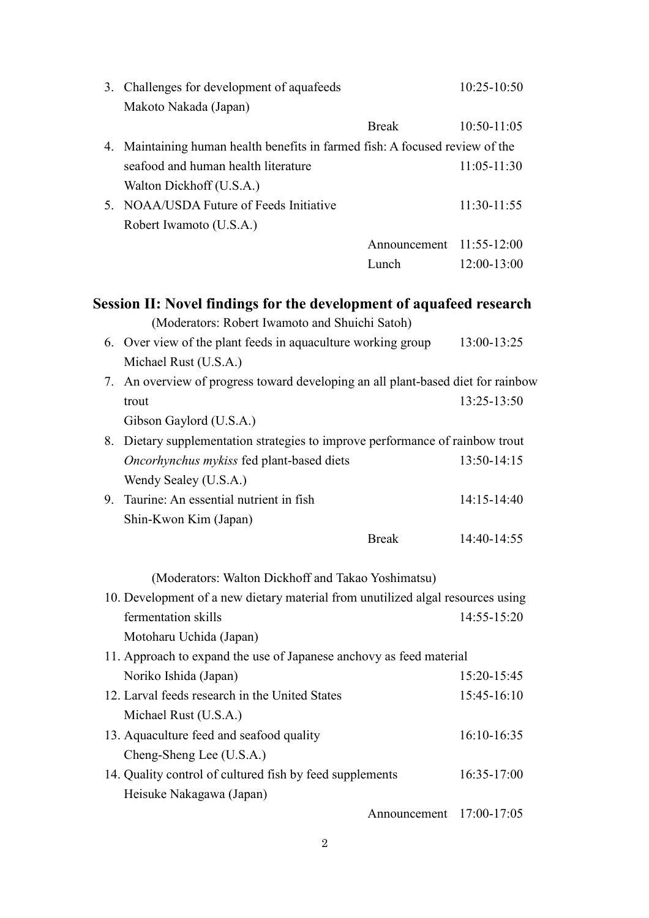|    | 3. Challenges for development of aquafeeds<br>Makoto Nakada (Japan)                                                          | 10:25-10:50     |
|----|------------------------------------------------------------------------------------------------------------------------------|-----------------|
|    | <b>Break</b>                                                                                                                 | 10:50-11:05     |
| 4. | Maintaining human health benefits in farmed fish: A focused review of the                                                    |                 |
|    | seafood and human health literature<br>Walton Dickhoff (U.S.A.)                                                              | $11:05 - 11:30$ |
| 5. | NOAA/USDA Future of Feeds Initiative<br>Robert Iwamoto (U.S.A.)                                                              | 11:30-11:55     |
|    | Announcement 11:55-12:00                                                                                                     |                 |
|    | Lunch                                                                                                                        | 12:00-13:00     |
|    | <b>Session II: Novel findings for the development of aquafeed research</b><br>(Moderators: Robert Iwamoto and Shuichi Satoh) |                 |
|    | 6. Over view of the plant feeds in aquaculture working group<br>Michael Rust (U.S.A.)                                        | 13:00-13:25     |
| 7. | An overview of progress toward developing an all plant-based diet for rainbow                                                |                 |
|    | trout                                                                                                                        | 13:25-13:50     |
|    | Gibson Gaylord (U.S.A.)                                                                                                      |                 |
| 8. | Dietary supplementation strategies to improve performance of rainbow trout                                                   |                 |
|    | Oncorhynchus mykiss fed plant-based diets                                                                                    | 13:50-14:15     |
|    | Wendy Sealey (U.S.A.)                                                                                                        |                 |
| 9. | Taurine: An essential nutrient in fish                                                                                       | 14:15-14:40     |
|    | Shin-Kwon Kim (Japan)                                                                                                        |                 |
|    | <b>Break</b>                                                                                                                 | 14:40-14:55     |
|    | (Moderators: Walton Dickhoff and Takao Yoshimatsu)                                                                           |                 |
|    | 10. Development of a new dietary material from unutilized algal resources using                                              |                 |
|    | fermentation skills                                                                                                          | 14:55-15:20     |
|    | Motoharu Uchida (Japan)                                                                                                      |                 |
|    | 11. Approach to expand the use of Japanese anchovy as feed material                                                          |                 |
|    | Noriko Ishida (Japan)                                                                                                        | 15:20-15:45     |
|    | 12. Larval feeds research in the United States                                                                               | 15:45-16:10     |
|    | Michael Rust (U.S.A.)                                                                                                        |                 |
|    | 13. Aquaculture feed and seafood quality                                                                                     | 16:10-16:35     |
|    | Cheng-Sheng Lee (U.S.A.)                                                                                                     |                 |
|    | 14. Quality control of cultured fish by feed supplements                                                                     | 16:35-17:00     |
|    | Heisuke Nakagawa (Japan)                                                                                                     |                 |
|    | Announcement 17:00-17:05                                                                                                     |                 |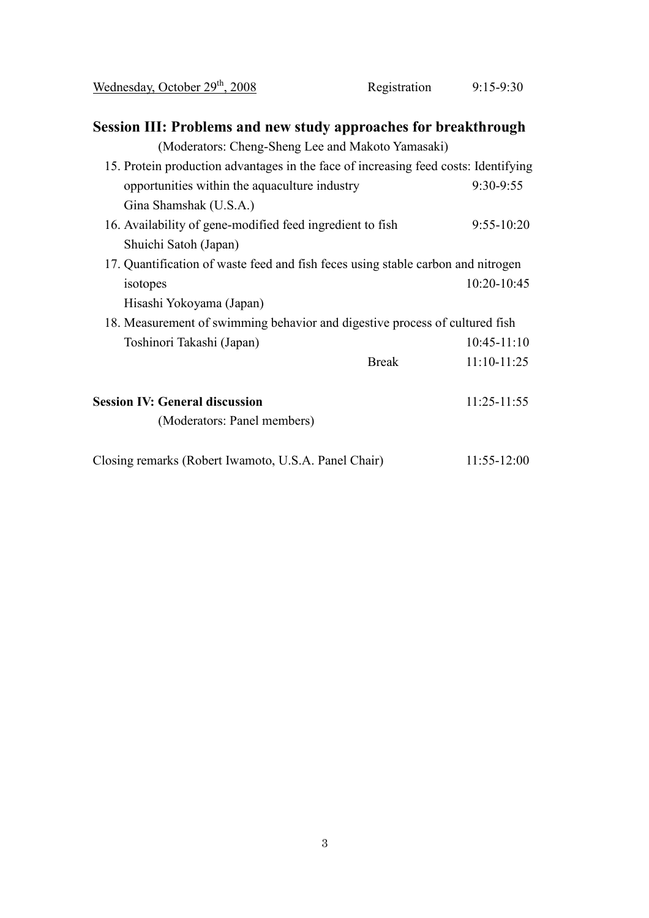| Wednesday, October 29 <sup>th</sup> , 2008                                          | Registration | $9:15-9:30$     |  |
|-------------------------------------------------------------------------------------|--------------|-----------------|--|
| Session III: Problems and new study approaches for breakthrough                     |              |                 |  |
| (Moderators: Cheng-Sheng Lee and Makoto Yamasaki)                                   |              |                 |  |
| 15. Protein production advantages in the face of increasing feed costs: Identifying |              |                 |  |
| opportunities within the aquaculture industry                                       |              | 9:30-9:55       |  |
| Gina Shamshak (U.S.A.)                                                              |              |                 |  |
| 16. Availability of gene-modified feed ingredient to fish                           |              | $9:55-10:20$    |  |
| Shuichi Satoh (Japan)                                                               |              |                 |  |
| 17. Quantification of waste feed and fish feces using stable carbon and nitrogen    |              |                 |  |
| isotopes                                                                            |              | 10:20-10:45     |  |
| Hisashi Yokoyama (Japan)                                                            |              |                 |  |
| 18. Measurement of swimming behavior and digestive process of cultured fish         |              |                 |  |
| Toshinori Takashi (Japan)                                                           |              | $10:45-11:10$   |  |
|                                                                                     | <b>Break</b> | $11:10-11:25$   |  |
| <b>Session IV: General discussion</b>                                               |              | $11:25 - 11:55$ |  |
| (Moderators: Panel members)                                                         |              |                 |  |
| Closing remarks (Robert Iwamoto, U.S.A. Panel Chair)                                |              | $11:55 - 12:00$ |  |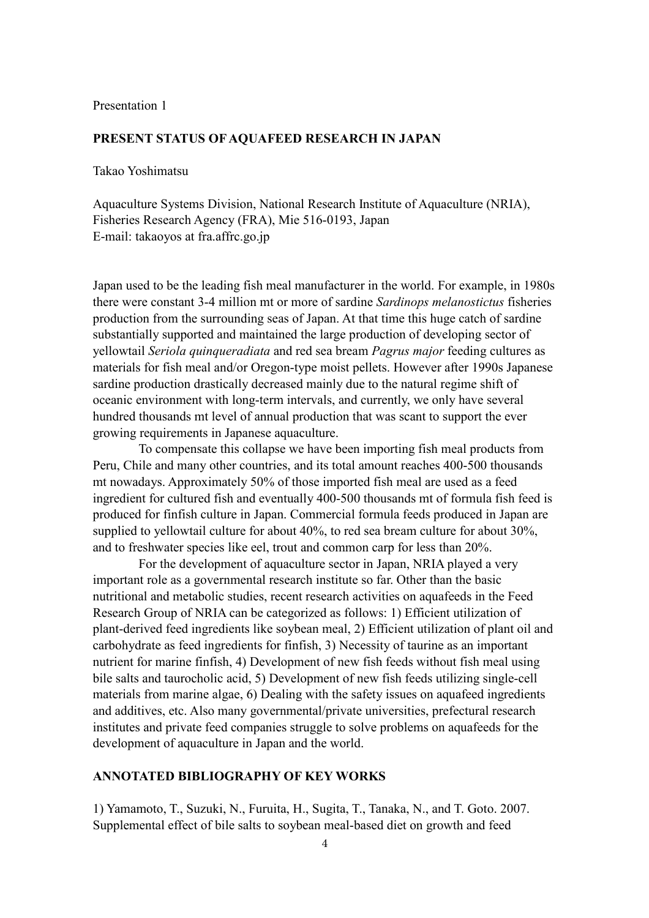## **PRESENT STATUS OF AQUAFEED RESEARCH IN JAPAN**

Takao Yoshimatsu

Aquaculture Systems Division, National Research Institute of Aquaculture (NRIA), Fisheries Research Agency (FRA), Mie 516-0193, Japan E-mail: takaoyos at fra.affrc.go.jp

Japan used to be the leading fish meal manufacturer in the world. For example, in 1980s there were constant 3-4 million mt or more of sardine *Sardinops melanostictus* fisheries production from the surrounding seas of Japan. At that time this huge catch of sardine substantially supported and maintained the large production of developing sector of yellowtail *Seriola quinqueradiata* and red sea bream *Pagrus major* feeding cultures as materials for fish meal and/or Oregon-type moist pellets. However after 1990s Japanese sardine production drastically decreased mainly due to the natural regime shift of oceanic environment with long-term intervals, and currently, we only have several hundred thousands mt level of annual production that was scant to support the ever growing requirements in Japanese aquaculture.

To compensate this collapse we have been importing fish meal products from Peru, Chile and many other countries, and its total amount reaches 400-500 thousands mt nowadays. Approximately 50% of those imported fish meal are used as a feed ingredient for cultured fish and eventually 400-500 thousands mt of formula fish feed is produced for finfish culture in Japan. Commercial formula feeds produced in Japan are supplied to yellowtail culture for about 40%, to red sea bream culture for about 30%, and to freshwater species like eel, trout and common carp for less than 20%.

For the development of aquaculture sector in Japan, NRIA played a very important role as a governmental research institute so far. Other than the basic nutritional and metabolic studies, recent research activities on aquafeeds in the Feed Research Group of NRIA can be categorized as follows: 1) Efficient utilization of plant-derived feed ingredients like soybean meal, 2) Efficient utilization of plant oil and carbohydrate as feed ingredients for finfish, 3) Necessity of taurine as an important nutrient for marine finfish, 4) Development of new fish feeds without fish meal using bile salts and taurocholic acid, 5) Development of new fish feeds utilizing single-cell materials from marine algae, 6) Dealing with the safety issues on aquafeed ingredients and additives, etc. Also many governmental/private universities, prefectural research institutes and private feed companies struggle to solve problems on aquafeeds for the development of aquaculture in Japan and the world.

#### **ANNOTATED BIBLIOGRAPHY OF KEY WORKS**

1) Yamamoto, T., Suzuki, N., Furuita, H., Sugita, T., Tanaka, N., and T. Goto. 2007. Supplemental effect of bile salts to soybean meal-based diet on growth and feed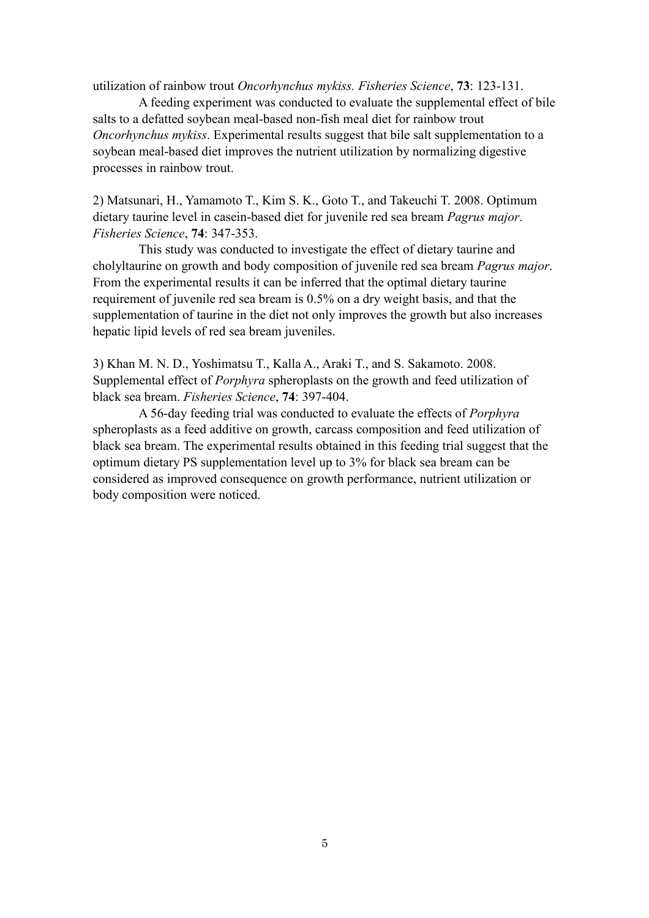utilization of rainbow trout *Oncorhynchus mykiss. Fisheries Science*, **73**: 123-131.

A feeding experiment was conducted to evaluate the supplemental effect of bile salts to a defatted soybean meal-based non-fish meal diet for rainbow trout *Oncorhynchus mykiss*. Experimental results suggest that bile salt supplementation to a soybean meal-based diet improves the nutrient utilization by normalizing digestive processes in rainbow trout.

2) Matsunari, H., Yamamoto T., Kim S. K., Goto T., and Takeuchi T. 2008. Optimum dietary taurine level in casein-based diet for juvenile red sea bream *Pagrus major*. *Fisheries Science*, **74**: 347-353.

This study was conducted to investigate the effect of dietary taurine and cholyltaurine on growth and body composition of juvenile red sea bream *Pagrus major*. From the experimental results it can be inferred that the optimal dietary taurine requirement of juvenile red sea bream is 0.5% on a dry weight basis, and that the supplementation of taurine in the diet not only improves the growth but also increases hepatic lipid levels of red sea bream juveniles.

3) Khan M. N. D., Yoshimatsu T., Kalla A., Araki T., and S. Sakamoto. 2008. Supplemental effect of *Porphyra* spheroplasts on the growth and feed utilization of black sea bream. *Fisheries Science*, **74**: 397-404.

A 56-day feeding trial was conducted to evaluate the effects of *Porphyra* spheroplasts as a feed additive on growth, carcass composition and feed utilization of black sea bream. The experimental results obtained in this feeding trial suggest that the optimum dietary PS supplementation level up to 3% for black sea bream can be considered as improved consequence on growth performance, nutrient utilization or body composition were noticed.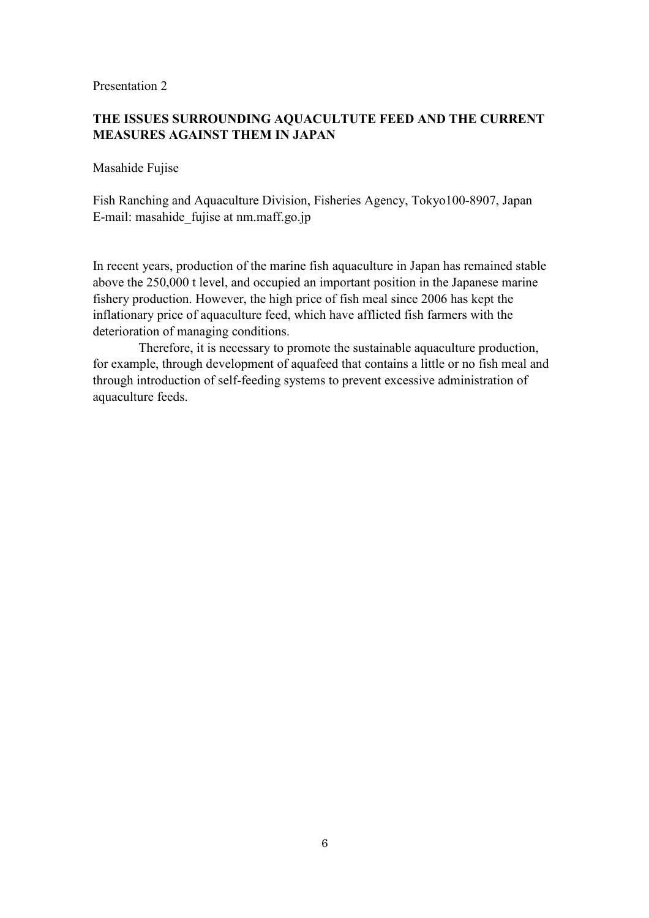## **THE ISSUES SURROUNDING AQUACULTUTE FEED AND THE CURRENT MEASURES AGAINST THEM IN JAPAN**

Masahide Fujise

Fish Ranching and Aquaculture Division, Fisheries Agency, Tokyo100-8907, Japan E-mail: masahide\_fujise at nm.maff.go.jp

In recent years, production of the marine fish aquaculture in Japan has remained stable above the 250,000 t level, and occupied an important position in the Japanese marine fishery production. However, the high price of fish meal since 2006 has kept the inflationary price of aquaculture feed, which have afflicted fish farmers with the deterioration of managing conditions.

Therefore, it is necessary to promote the sustainable aquaculture production, for example, through development of aquafeed that contains a little or no fish meal and through introduction of self-feeding systems to prevent excessive administration of aquaculture feeds.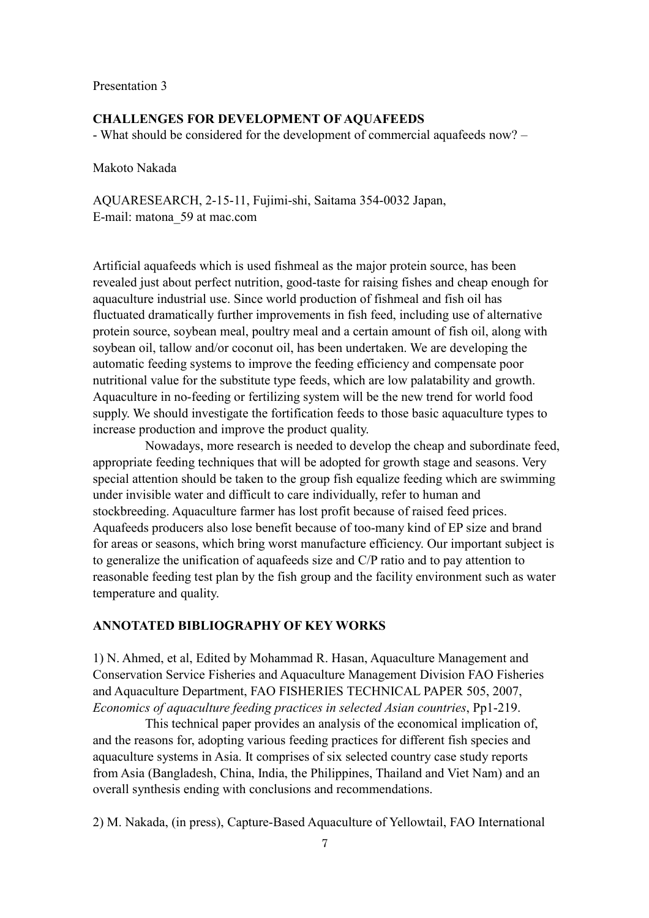#### **CHALLENGES FOR DEVELOPMENT OF AQUAFEEDS**

- What should be considered for the development of commercial aquafeeds now? –

Makoto Nakada

AQUARESEARCH, 2-15-11, Fujimi-shi, Saitama 354-0032 Japan, E-mail: matona\_59 at mac.com

Artificial aquafeeds which is used fishmeal as the major protein source, has been revealed just about perfect nutrition, good-taste for raising fishes and cheap enough for aquaculture industrial use. Since world production of fishmeal and fish oil has fluctuated dramatically further improvements in fish feed, including use of alternative protein source, soybean meal, poultry meal and a certain amount of fish oil, along with soybean oil, tallow and/or coconut oil, has been undertaken. We are developing the automatic feeding systems to improve the feeding efficiency and compensate poor nutritional value for the substitute type feeds, which are low palatability and growth. Aquaculture in no-feeding or fertilizing system will be the new trend for world food supply. We should investigate the fortification feeds to those basic aquaculture types to increase production and improve the product quality.

Nowadays, more research is needed to develop the cheap and subordinate feed, appropriate feeding techniques that will be adopted for growth stage and seasons. Very special attention should be taken to the group fish equalize feeding which are swimming under invisible water and difficult to care individually, refer to human and stockbreeding. Aquaculture farmer has lost profit because of raised feed prices. Aquafeeds producers also lose benefit because of too-many kind of EP size and brand for areas or seasons, which bring worst manufacture efficiency. Our important subject is to generalize the unification of aquafeeds size and C/P ratio and to pay attention to reasonable feeding test plan by the fish group and the facility environment such as water temperature and quality.

## **ANNOTATED BIBLIOGRAPHY OF KEY WORKS**

1) N. Ahmed, et al, Edited by Mohammad R. Hasan, Aquaculture Management and Conservation Service Fisheries and Aquaculture Management Division FAO Fisheries and Aquaculture Department, FAO FISHERIES TECHNICAL PAPER 505, 2007, *Economics of aquaculture feeding practices in selected Asian countries*, Pp1-219.

This technical paper provides an analysis of the economical implication of, and the reasons for, adopting various feeding practices for different fish species and aquaculture systems in Asia. It comprises of six selected country case study reports from Asia (Bangladesh, China, India, the Philippines, Thailand and Viet Nam) and an overall synthesis ending with conclusions and recommendations.

2) M. Nakada, (in press), Capture-Based Aquaculture of Yellowtail, FAO International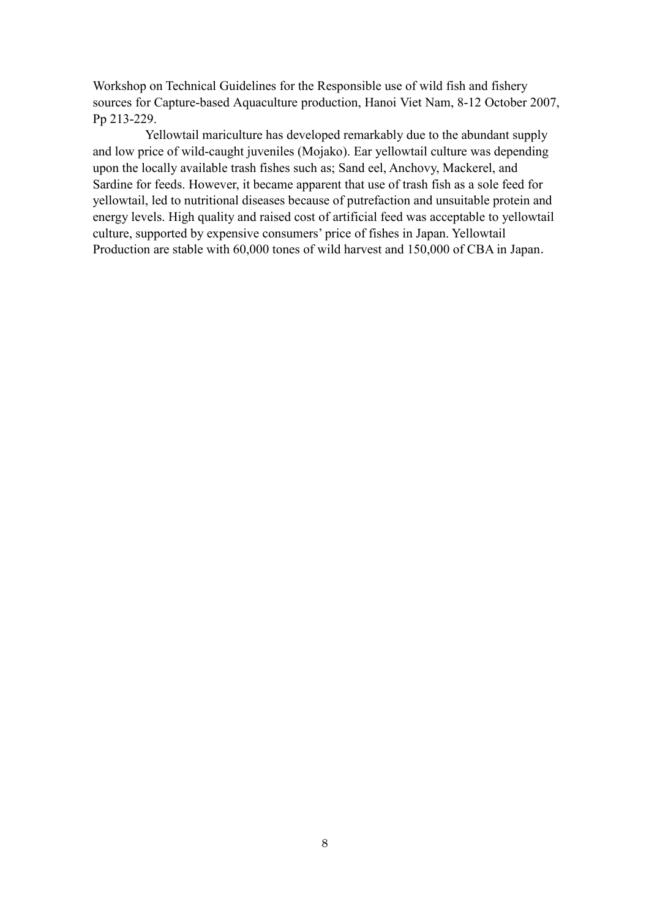Workshop on Technical Guidelines for the Responsible use of wild fish and fishery sources for Capture-based Aquaculture production, Hanoi Viet Nam, 8-12 October 2007, Pp 213-229.

Yellowtail mariculture has developed remarkably due to the abundant supply and low price of wild-caught juveniles (Mojako). Ear yellowtail culture was depending upon the locally available trash fishes such as; Sand eel, Anchovy, Mackerel, and Sardine for feeds. However, it became apparent that use of trash fish as a sole feed for yellowtail, led to nutritional diseases because of putrefaction and unsuitable protein and energy levels. High quality and raised cost of artificial feed was acceptable to yellowtail culture, supported by expensive consumers' price of fishes in Japan. Yellowtail Production are stable with 60,000 tones of wild harvest and 150,000 of CBA in Japan.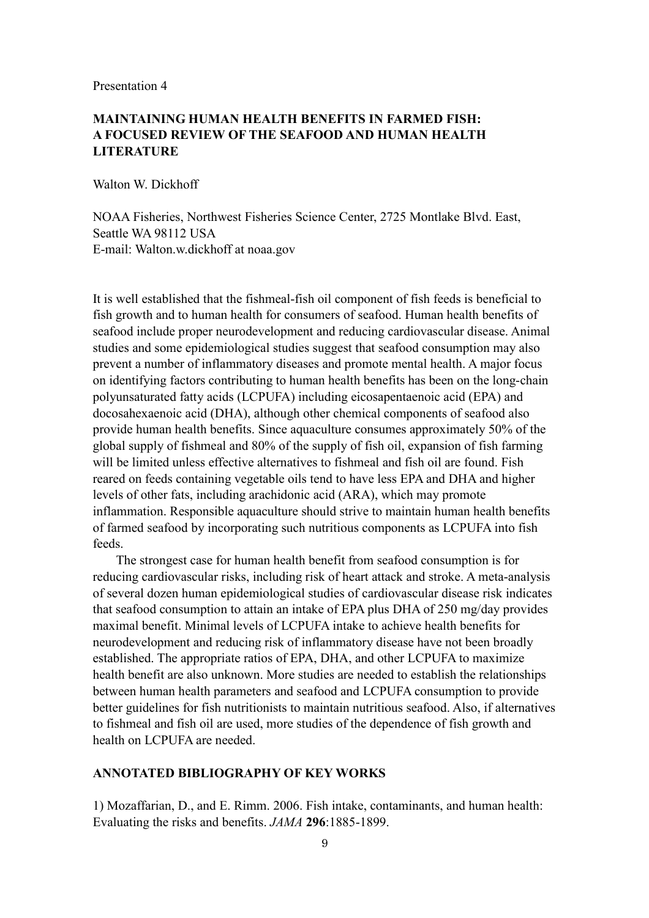## **MAINTAINING HUMAN HEALTH BENEFITS IN FARMED FISH: A FOCUSED REVIEW OF THE SEAFOOD AND HUMAN HEALTH LITERATURE**

Walton W. Dickhoff

NOAA Fisheries, Northwest Fisheries Science Center, 2725 Montlake Blvd. East, Seattle WA 98112 USA E-mail: Walton.w.dickhoff at noaa.gov

It is well established that the fishmeal-fish oil component of fish feeds is beneficial to fish growth and to human health for consumers of seafood. Human health benefits of seafood include proper neurodevelopment and reducing cardiovascular disease. Animal studies and some epidemiological studies suggest that seafood consumption may also prevent a number of inflammatory diseases and promote mental health. A major focus on identifying factors contributing to human health benefits has been on the long-chain polyunsaturated fatty acids (LCPUFA) including eicosapentaenoic acid (EPA) and docosahexaenoic acid (DHA), although other chemical components of seafood also provide human health benefits. Since aquaculture consumes approximately 50% of the global supply of fishmeal and 80% of the supply of fish oil, expansion of fish farming will be limited unless effective alternatives to fishmeal and fish oil are found. Fish reared on feeds containing vegetable oils tend to have less EPA and DHA and higher levels of other fats, including arachidonic acid (ARA), which may promote inflammation. Responsible aquaculture should strive to maintain human health benefits of farmed seafood by incorporating such nutritious components as LCPUFA into fish feeds.

The strongest case for human health benefit from seafood consumption is for reducing cardiovascular risks, including risk of heart attack and stroke. A meta-analysis of several dozen human epidemiological studies of cardiovascular disease risk indicates that seafood consumption to attain an intake of EPA plus DHA of 250 mg/day provides maximal benefit. Minimal levels of LCPUFA intake to achieve health benefits for neurodevelopment and reducing risk of inflammatory disease have not been broadly established. The appropriate ratios of EPA, DHA, and other LCPUFA to maximize health benefit are also unknown. More studies are needed to establish the relationships between human health parameters and seafood and LCPUFA consumption to provide better guidelines for fish nutritionists to maintain nutritious seafood. Also, if alternatives to fishmeal and fish oil are used, more studies of the dependence of fish growth and health on LCPUFA are needed.

## **ANNOTATED BIBLIOGRAPHY OF KEY WORKS**

1) Mozaffarian, D., and E. Rimm. 2006. Fish intake, contaminants, and human health: Evaluating the risks and benefits. *JAMA* **296**:1885-1899.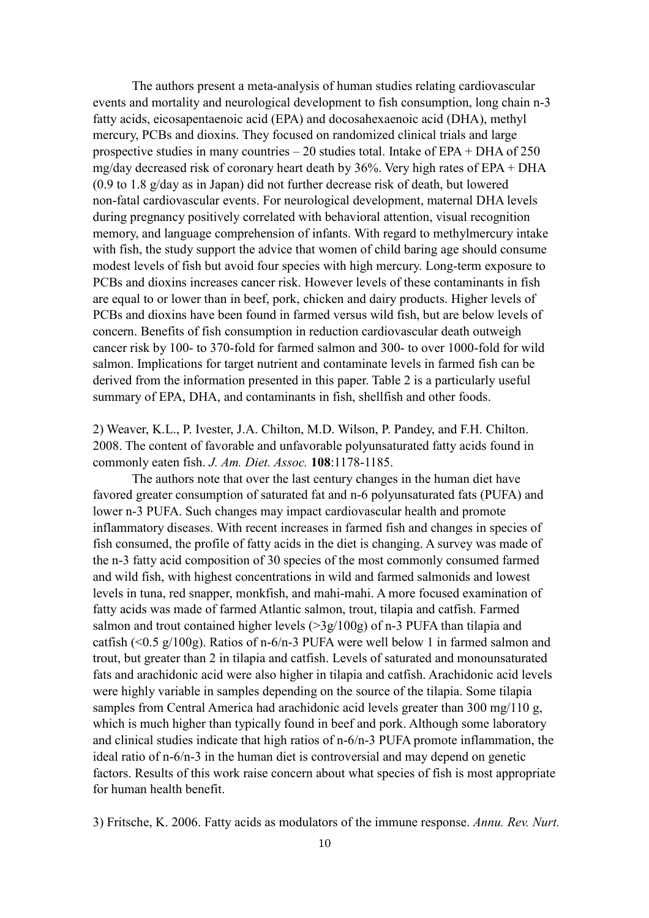The authors present a meta-analysis of human studies relating cardiovascular events and mortality and neurological development to fish consumption, long chain n-3 fatty acids, eicosapentaenoic acid (EPA) and docosahexaenoic acid (DHA), methyl mercury, PCBs and dioxins. They focused on randomized clinical trials and large prospective studies in many countries – 20 studies total. Intake of EPA + DHA of 250 mg/day decreased risk of coronary heart death by 36%. Very high rates of EPA + DHA (0.9 to 1.8 g/day as in Japan) did not further decrease risk of death, but lowered non-fatal cardiovascular events. For neurological development, maternal DHA levels during pregnancy positively correlated with behavioral attention, visual recognition memory, and language comprehension of infants. With regard to methylmercury intake with fish, the study support the advice that women of child baring age should consume modest levels of fish but avoid four species with high mercury. Long-term exposure to PCBs and dioxins increases cancer risk. However levels of these contaminants in fish are equal to or lower than in beef, pork, chicken and dairy products. Higher levels of PCBs and dioxins have been found in farmed versus wild fish, but are below levels of concern. Benefits of fish consumption in reduction cardiovascular death outweigh cancer risk by 100- to 370-fold for farmed salmon and 300- to over 1000-fold for wild salmon. Implications for target nutrient and contaminate levels in farmed fish can be derived from the information presented in this paper. Table 2 is a particularly useful summary of EPA, DHA, and contaminants in fish, shellfish and other foods.

2) Weaver, K.L., P. Ivester, J.A. Chilton, M.D. Wilson, P. Pandey, and F.H. Chilton. 2008. The content of favorable and unfavorable polyunsaturated fatty acids found in commonly eaten fish. *J. Am. Diet. Assoc.* **108**:1178-1185.

The authors note that over the last century changes in the human diet have favored greater consumption of saturated fat and n-6 polyunsaturated fats (PUFA) and lower n-3 PUFA. Such changes may impact cardiovascular health and promote inflammatory diseases. With recent increases in farmed fish and changes in species of fish consumed, the profile of fatty acids in the diet is changing. A survey was made of the n-3 fatty acid composition of 30 species of the most commonly consumed farmed and wild fish, with highest concentrations in wild and farmed salmonids and lowest levels in tuna, red snapper, monkfish, and mahi-mahi. A more focused examination of fatty acids was made of farmed Atlantic salmon, trout, tilapia and catfish. Farmed salmon and trout contained higher levels  $(>\frac{3g}{100g})$  of n-3 PUFA than tilapia and catfish (<0.5 g/100g). Ratios of n-6/n-3 PUFA were well below 1 in farmed salmon and trout, but greater than 2 in tilapia and catfish. Levels of saturated and monounsaturated fats and arachidonic acid were also higher in tilapia and catfish. Arachidonic acid levels were highly variable in samples depending on the source of the tilapia. Some tilapia samples from Central America had arachidonic acid levels greater than 300 mg/110 g, which is much higher than typically found in beef and pork. Although some laboratory and clinical studies indicate that high ratios of n-6/n-3 PUFA promote inflammation, the ideal ratio of n-6/n-3 in the human diet is controversial and may depend on genetic factors. Results of this work raise concern about what species of fish is most appropriate for human health benefit.

3) Fritsche, K. 2006. Fatty acids as modulators of the immune response. *Annu. Rev. Nurt.*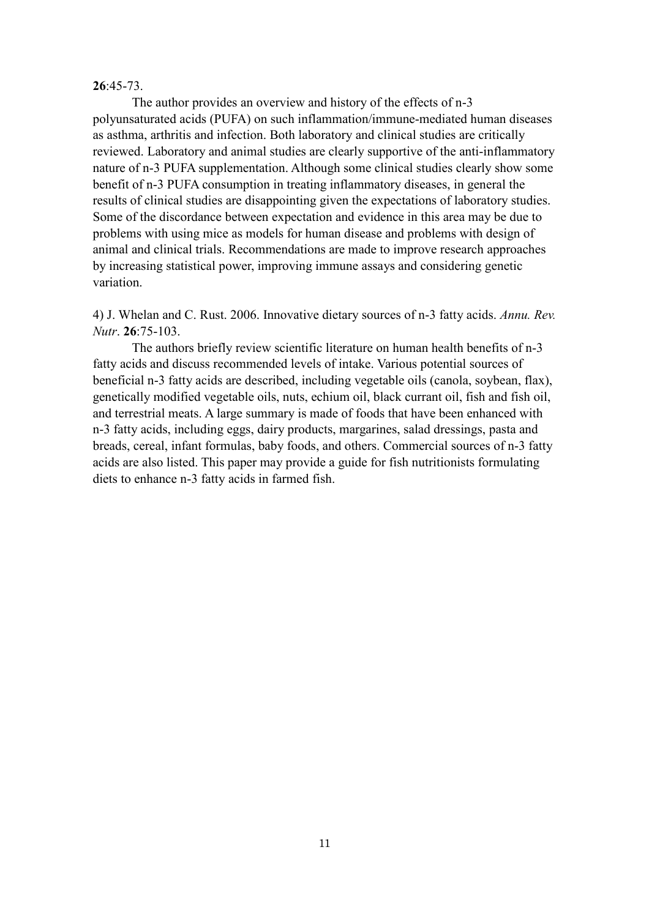#### **26**:45-73.

The author provides an overview and history of the effects of n-3 polyunsaturated acids (PUFA) on such inflammation/immune-mediated human diseases as asthma, arthritis and infection. Both laboratory and clinical studies are critically reviewed. Laboratory and animal studies are clearly supportive of the anti-inflammatory nature of n-3 PUFA supplementation. Although some clinical studies clearly show some benefit of n-3 PUFA consumption in treating inflammatory diseases, in general the results of clinical studies are disappointing given the expectations of laboratory studies. Some of the discordance between expectation and evidence in this area may be due to problems with using mice as models for human disease and problems with design of animal and clinical trials. Recommendations are made to improve research approaches by increasing statistical power, improving immune assays and considering genetic variation.

4) J. Whelan and C. Rust. 2006. Innovative dietary sources of n-3 fatty acids. *Annu. Rev. Nutr*. **26**:75-103.

The authors briefly review scientific literature on human health benefits of n-3 fatty acids and discuss recommended levels of intake. Various potential sources of beneficial n-3 fatty acids are described, including vegetable oils (canola, soybean, flax), genetically modified vegetable oils, nuts, echium oil, black currant oil, fish and fish oil, and terrestrial meats. A large summary is made of foods that have been enhanced with n-3 fatty acids, including eggs, dairy products, margarines, salad dressings, pasta and breads, cereal, infant formulas, baby foods, and others. Commercial sources of n-3 fatty acids are also listed. This paper may provide a guide for fish nutritionists formulating diets to enhance n-3 fatty acids in farmed fish.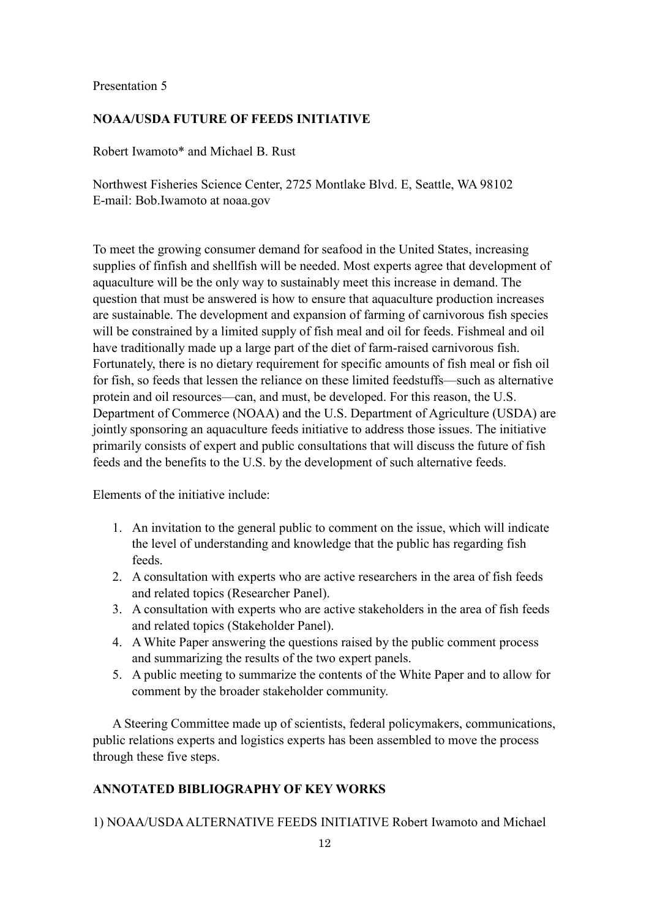### **NOAA/USDA FUTURE OF FEEDS INITIATIVE**

Robert Iwamoto\* and Michael B. Rust

Northwest Fisheries Science Center, 2725 Montlake Blvd. E, Seattle, WA 98102 E-mail: Bob.Iwamoto at noaa.gov

To meet the growing consumer demand for seafood in the United States, increasing supplies of finfish and shellfish will be needed. Most experts agree that development of aquaculture will be the only way to sustainably meet this increase in demand. The question that must be answered is how to ensure that aquaculture production increases are sustainable. The development and expansion of farming of carnivorous fish species will be constrained by a limited supply of fish meal and oil for feeds. Fishmeal and oil have traditionally made up a large part of the diet of farm-raised carnivorous fish. Fortunately, there is no dietary requirement for specific amounts of fish meal or fish oil for fish, so feeds that lessen the reliance on these limited feedstuffs—such as alternative protein and oil resources—can, and must, be developed. For this reason, the U.S. Department of Commerce (NOAA) and the U.S. Department of Agriculture (USDA) are jointly sponsoring an aquaculture feeds initiative to address those issues. The initiative primarily consists of expert and public consultations that will discuss the future of fish feeds and the benefits to the U.S. by the development of such alternative feeds.

Elements of the initiative include:

- 1. An invitation to the general public to comment on the issue, which will indicate the level of understanding and knowledge that the public has regarding fish feeds.
- 2. A consultation with experts who are active researchers in the area of fish feeds and related topics (Researcher Panel).
- 3. A consultation with experts who are active stakeholders in the area of fish feeds and related topics (Stakeholder Panel).
- 4. A White Paper answering the questions raised by the public comment process and summarizing the results of the two expert panels.
- 5. A public meeting to summarize the contents of the White Paper and to allow for comment by the broader stakeholder community.

A Steering Committee made up of scientists, federal policymakers, communications, public relations experts and logistics experts has been assembled to move the process through these five steps.

#### **ANNOTATED BIBLIOGRAPHY OF KEY WORKS**

1) NOAA/USDA ALTERNATIVE FEEDS INITIATIVE Robert Iwamoto and Michael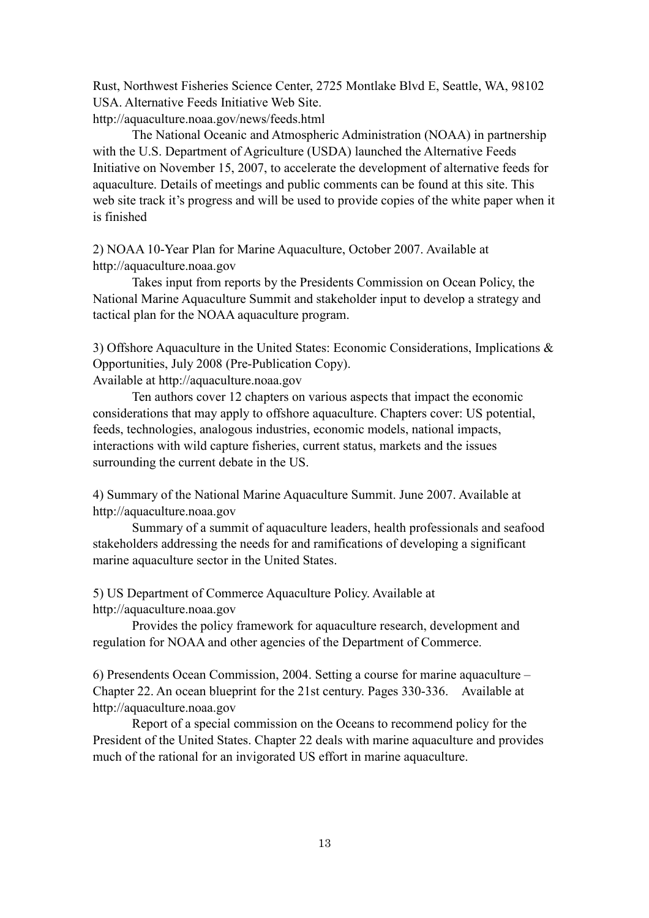Rust, Northwest Fisheries Science Center, 2725 Montlake Blvd E, Seattle, WA, 98102 USA. Alternative Feeds Initiative Web Site. http://aquaculture.noaa.gov/news/feeds.html

The National Oceanic and Atmospheric Administration (NOAA) in partnership

with the U.S. Department of Agriculture (USDA) launched the Alternative Feeds Initiative on November 15, 2007, to accelerate the development of alternative feeds for aquaculture. Details of meetings and public comments can be found at this site. This web site track it's progress and will be used to provide copies of the white paper when it is finished

2) NOAA 10-Year Plan for Marine Aquaculture, October 2007. Available at http://aquaculture.noaa.gov

Takes input from reports by the Presidents Commission on Ocean Policy, the National Marine Aquaculture Summit and stakeholder input to develop a strategy and tactical plan for the NOAA aquaculture program.

3) Offshore Aquaculture in the United States: Economic Considerations, Implications & Opportunities, July 2008 (Pre-Publication Copy).

Available at http://aquaculture.noaa.gov

Ten authors cover 12 chapters on various aspects that impact the economic considerations that may apply to offshore aquaculture. Chapters cover: US potential, feeds, technologies, analogous industries, economic models, national impacts, interactions with wild capture fisheries, current status, markets and the issues surrounding the current debate in the US.

4) Summary of the National Marine Aquaculture Summit. June 2007. Available at http://aquaculture.noaa.gov

Summary of a summit of aquaculture leaders, health professionals and seafood stakeholders addressing the needs for and ramifications of developing a significant marine aquaculture sector in the United States.

5) US Department of Commerce Aquaculture Policy. Available at http://aquaculture.noaa.gov

Provides the policy framework for aquaculture research, development and regulation for NOAA and other agencies of the Department of Commerce.

6) Presendents Ocean Commission, 2004. Setting a course for marine aquaculture – Chapter 22. An ocean blueprint for the 21st century. Pages 330-336. Available at http://aquaculture.noaa.gov

Report of a special commission on the Oceans to recommend policy for the President of the United States. Chapter 22 deals with marine aquaculture and provides much of the rational for an invigorated US effort in marine aquaculture.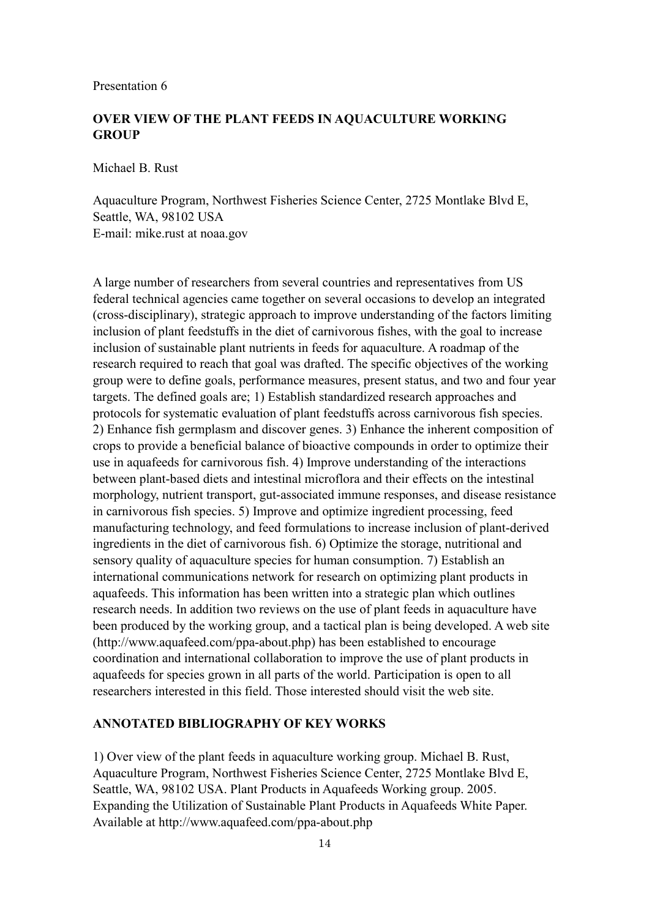## **OVER VIEW OF THE PLANT FEEDS IN AQUACULTURE WORKING GROUP**

Michael B. Rust

Aquaculture Program, Northwest Fisheries Science Center, 2725 Montlake Blvd E, Seattle, WA, 98102 USA E-mail: mike.rust at noaa.gov

A large number of researchers from several countries and representatives from US federal technical agencies came together on several occasions to develop an integrated (cross-disciplinary), strategic approach to improve understanding of the factors limiting inclusion of plant feedstuffs in the diet of carnivorous fishes, with the goal to increase inclusion of sustainable plant nutrients in feeds for aquaculture. A roadmap of the research required to reach that goal was drafted. The specific objectives of the working group were to define goals, performance measures, present status, and two and four year targets. The defined goals are; 1) Establish standardized research approaches and protocols for systematic evaluation of plant feedstuffs across carnivorous fish species. 2) Enhance fish germplasm and discover genes. 3) Enhance the inherent composition of crops to provide a beneficial balance of bioactive compounds in order to optimize their use in aquafeeds for carnivorous fish. 4) Improve understanding of the interactions between plant-based diets and intestinal microflora and their effects on the intestinal morphology, nutrient transport, gut-associated immune responses, and disease resistance in carnivorous fish species. 5) Improve and optimize ingredient processing, feed manufacturing technology, and feed formulations to increase inclusion of plant-derived ingredients in the diet of carnivorous fish. 6) Optimize the storage, nutritional and sensory quality of aquaculture species for human consumption. 7) Establish an international communications network for research on optimizing plant products in aquafeeds. This information has been written into a strategic plan which outlines research needs. In addition two reviews on the use of plant feeds in aquaculture have been produced by the working group, and a tactical plan is being developed. A web site (http://www.aquafeed.com/ppa-about.php) has been established to encourage coordination and international collaboration to improve the use of plant products in aquafeeds for species grown in all parts of the world. Participation is open to all researchers interested in this field. Those interested should visit the web site.

#### **ANNOTATED BIBLIOGRAPHY OF KEY WORKS**

1) Over view of the plant feeds in aquaculture working group. Michael B. Rust, Aquaculture Program, Northwest Fisheries Science Center, 2725 Montlake Blvd E, Seattle, WA, 98102 USA. Plant Products in Aquafeeds Working group. 2005. Expanding the Utilization of Sustainable Plant Products in Aquafeeds White Paper. Available at http://www.aquafeed.com/ppa-about.php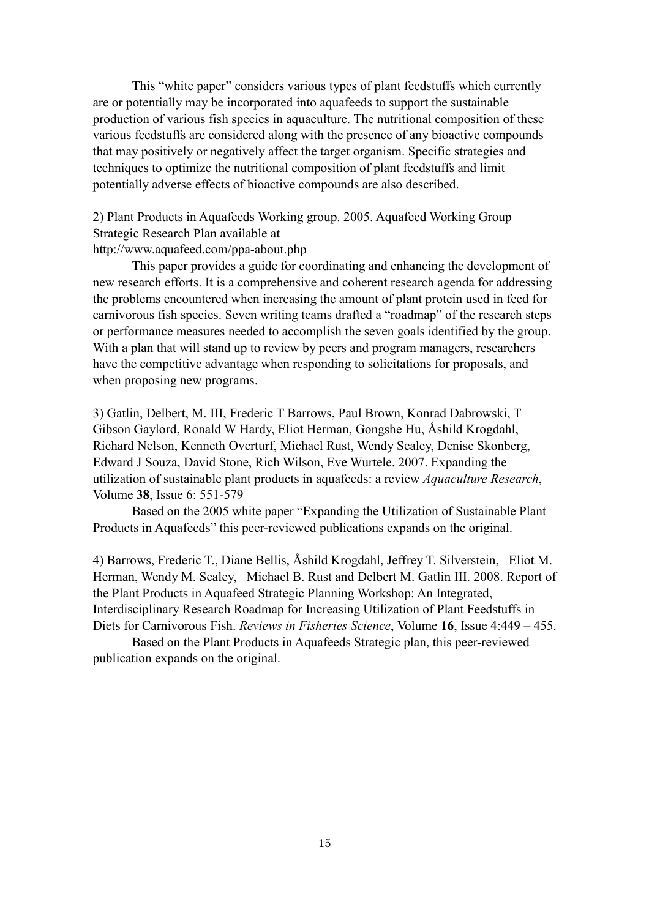This "white paper" considers various types of plant feedstuffs which currently are or potentially may be incorporated into aquafeeds to support the sustainable production of various fish species in aquaculture. The nutritional composition of these various feedstuffs are considered along with the presence of any bioactive compounds that may positively or negatively affect the target organism. Specific strategies and techniques to optimize the nutritional composition of plant feedstuffs and limit potentially adverse effects of bioactive compounds are also described.

2) Plant Products in Aquafeeds Working group. 2005. Aquafeed Working Group Strategic Research Plan available at http://www.aquafeed.com/ppa-about.php

This paper provides a guide for coordinating and enhancing the development of new research efforts. It is a comprehensive and coherent research agenda for addressing the problems encountered when increasing the amount of plant protein used in feed for carnivorous fish species. Seven writing teams drafted a "roadmap" of the research steps or performance measures needed to accomplish the seven goals identified by the group. With a plan that will stand up to review by peers and program managers, researchers have the competitive advantage when responding to solicitations for proposals, and when proposing new programs.

3) Gatlin, Delbert, M. III, Frederic T Barrows, Paul Brown, Konrad Dabrowski, T Gibson Gaylord, Ronald W Hardy, Eliot Herman, Gongshe Hu, Åshild Krogdahl, Richard Nelson, Kenneth Overturf, Michael Rust, Wendy Sealey, Denise Skonberg, Edward J Souza, David Stone, Rich Wilson, Eve Wurtele. 2007. Expanding the utilization of sustainable plant products in aquafeeds: a review *Aquaculture Research*, Volume **38**, Issue 6: 551-579

Based on the 2005 white paper "Expanding the Utilization of Sustainable Plant Products in Aquafeeds" this peer-reviewed publications expands on the original.

4) Barrows, Frederic T., Diane Bellis, Åshild Krogdahl, Jeffrey T. Silverstein, Eliot M. Herman, Wendy M. Sealey, Michael B. Rust and Delbert M. Gatlin III. 2008. Report of the Plant Products in Aquafeed Strategic Planning Workshop: An Integrated, Interdisciplinary Research Roadmap for Increasing Utilization of Plant Feedstuffs in Diets for Carnivorous Fish. *Reviews in Fisheries Science*, Volume **16**, Issue 4:449 – 455.

Based on the Plant Products in Aquafeeds Strategic plan, this peer-reviewed publication expands on the original.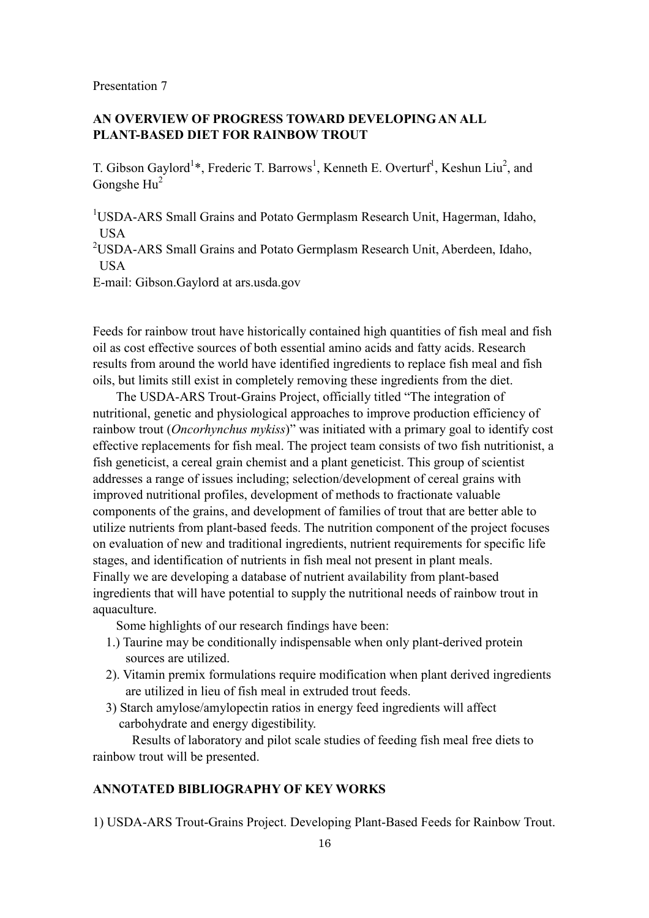## **AN OVERVIEW OF PROGRESS TOWARD DEVELOPING AN ALL PLANT-BASED DIET FOR RAINBOW TROUT**

T. Gibson Gaylord<sup>1</sup>\*, Frederic T. Barrows<sup>1</sup>, Kenneth E. Overturf<sup>1</sup>, Keshun Liu<sup>2</sup>, and Gongshe Hu<sup>2</sup>

<sup>1</sup>USDA-ARS Small Grains and Potato Germplasm Research Unit, Hagerman, Idaho, USA

<sup>2</sup>USDA-ARS Small Grains and Potato Germplasm Research Unit, Aberdeen, Idaho, USA

E-mail: Gibson.Gaylord at ars.usda.gov

Feeds for rainbow trout have historically contained high quantities of fish meal and fish oil as cost effective sources of both essential amino acids and fatty acids. Research results from around the world have identified ingredients to replace fish meal and fish oils, but limits still exist in completely removing these ingredients from the diet.

The USDA-ARS Trout-Grains Project, officially titled "The integration of nutritional, genetic and physiological approaches to improve production efficiency of rainbow trout (*Oncorhynchus mykiss*)" was initiated with a primary goal to identify cost effective replacements for fish meal. The project team consists of two fish nutritionist, a fish geneticist, a cereal grain chemist and a plant geneticist. This group of scientist addresses a range of issues including; selection/development of cereal grains with improved nutritional profiles, development of methods to fractionate valuable components of the grains, and development of families of trout that are better able to utilize nutrients from plant-based feeds. The nutrition component of the project focuses on evaluation of new and traditional ingredients, nutrient requirements for specific life stages, and identification of nutrients in fish meal not present in plant meals. Finally we are developing a database of nutrient availability from plant-based ingredients that will have potential to supply the nutritional needs of rainbow trout in aquaculture.

Some highlights of our research findings have been:

- 1.) Taurine may be conditionally indispensable when only plant-derived protein sources are utilized.
- 2). Vitamin premix formulations require modification when plant derived ingredients are utilized in lieu of fish meal in extruded trout feeds.
- 3) Starch amylose/amylopectin ratios in energy feed ingredients will affect carbohydrate and energy digestibility.

Results of laboratory and pilot scale studies of feeding fish meal free diets to rainbow trout will be presented.

#### **ANNOTATED BIBLIOGRAPHY OF KEY WORKS**

1) USDA-ARS Trout-Grains Project. Developing Plant-Based Feeds for Rainbow Trout.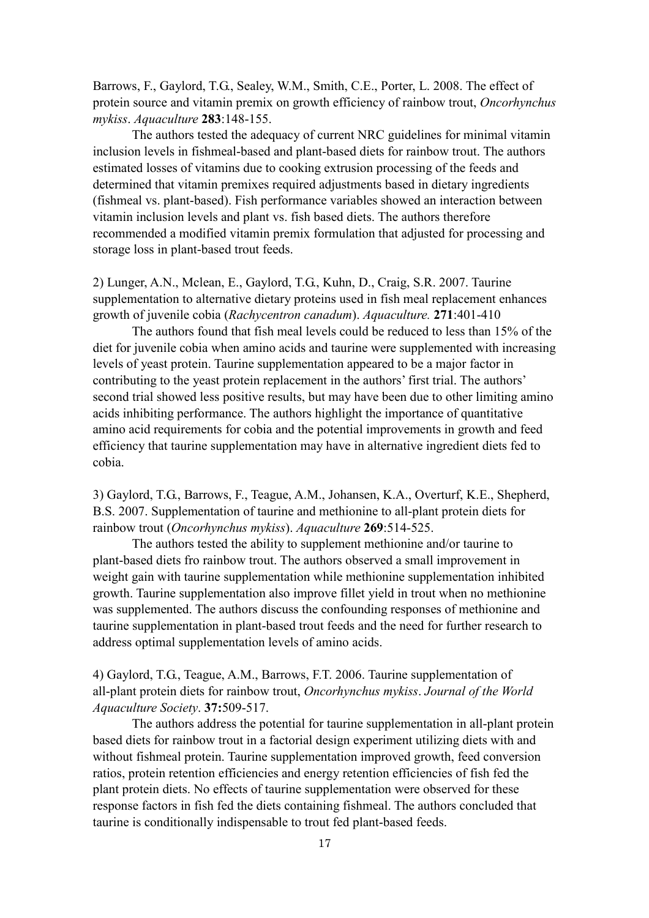Barrows, F., Gaylord, T.G., Sealey, W.M., Smith, C.E., Porter, L. 2008. The effect of protein source and vitamin premix on growth efficiency of rainbow trout, *Oncorhynchus mykiss*. *Aquaculture* **283**:148-155.

The authors tested the adequacy of current NRC guidelines for minimal vitamin inclusion levels in fishmeal-based and plant-based diets for rainbow trout. The authors estimated losses of vitamins due to cooking extrusion processing of the feeds and determined that vitamin premixes required adjustments based in dietary ingredients (fishmeal vs. plant-based). Fish performance variables showed an interaction between vitamin inclusion levels and plant vs. fish based diets. The authors therefore recommended a modified vitamin premix formulation that adjusted for processing and storage loss in plant-based trout feeds.

2) Lunger, A.N., Mclean, E., Gaylord, T.G., Kuhn, D., Craig, S.R. 2007. Taurine supplementation to alternative dietary proteins used in fish meal replacement enhances growth of juvenile cobia (*Rachycentron canadum*). *Aquaculture.* **271**:401-410

The authors found that fish meal levels could be reduced to less than 15% of the diet for juvenile cobia when amino acids and taurine were supplemented with increasing levels of yeast protein. Taurine supplementation appeared to be a major factor in contributing to the yeast protein replacement in the authors' first trial. The authors' second trial showed less positive results, but may have been due to other limiting amino acids inhibiting performance. The authors highlight the importance of quantitative amino acid requirements for cobia and the potential improvements in growth and feed efficiency that taurine supplementation may have in alternative ingredient diets fed to cobia.

3) Gaylord, T.G., Barrows, F., Teague, A.M., Johansen, K.A., Overturf, K.E., Shepherd, B.S. 2007. Supplementation of taurine and methionine to all-plant protein diets for rainbow trout (*Oncorhynchus mykiss*). *Aquaculture* **269**:514-525.

The authors tested the ability to supplement methionine and/or taurine to plant-based diets fro rainbow trout. The authors observed a small improvement in weight gain with taurine supplementation while methionine supplementation inhibited growth. Taurine supplementation also improve fillet yield in trout when no methionine was supplemented. The authors discuss the confounding responses of methionine and taurine supplementation in plant-based trout feeds and the need for further research to address optimal supplementation levels of amino acids.

4) Gaylord, T.G., Teague, A.M., Barrows, F.T. 2006. Taurine supplementation of all-plant protein diets for rainbow trout, *Oncorhynchus mykiss*. *Journal of the World Aquaculture Society*. **37:**509-517.

The authors address the potential for taurine supplementation in all-plant protein based diets for rainbow trout in a factorial design experiment utilizing diets with and without fishmeal protein. Taurine supplementation improved growth, feed conversion ratios, protein retention efficiencies and energy retention efficiencies of fish fed the plant protein diets. No effects of taurine supplementation were observed for these response factors in fish fed the diets containing fishmeal. The authors concluded that taurine is conditionally indispensable to trout fed plant-based feeds.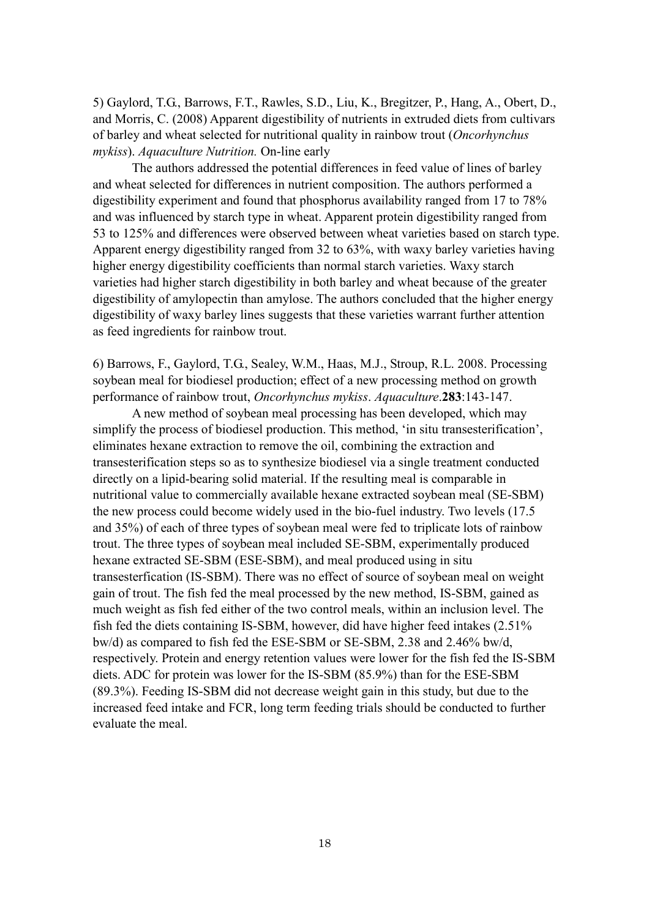5) Gaylord, T.G., Barrows, F.T., Rawles, S.D., Liu, K., Bregitzer, P., Hang, A., Obert, D., and Morris, C. (2008) Apparent digestibility of nutrients in extruded diets from cultivars of barley and wheat selected for nutritional quality in rainbow trout (*Oncorhynchus mykiss*). *Aquaculture Nutrition.* On-line early

The authors addressed the potential differences in feed value of lines of barley and wheat selected for differences in nutrient composition. The authors performed a digestibility experiment and found that phosphorus availability ranged from 17 to 78% and was influenced by starch type in wheat. Apparent protein digestibility ranged from 53 to 125% and differences were observed between wheat varieties based on starch type. Apparent energy digestibility ranged from 32 to 63%, with waxy barley varieties having higher energy digestibility coefficients than normal starch varieties. Waxy starch varieties had higher starch digestibility in both barley and wheat because of the greater digestibility of amylopectin than amylose. The authors concluded that the higher energy digestibility of waxy barley lines suggests that these varieties warrant further attention as feed ingredients for rainbow trout.

6) Barrows, F., Gaylord, T.G., Sealey, W.M., Haas, M.J., Stroup, R.L. 2008. Processing soybean meal for biodiesel production; effect of a new processing method on growth performance of rainbow trout, *Oncorhynchus mykiss*. *Aquaculture*.**283**:143-147.

A new method of soybean meal processing has been developed, which may simplify the process of biodiesel production. This method, 'in situ transesterification', eliminates hexane extraction to remove the oil, combining the extraction and transesterification steps so as to synthesize biodiesel via a single treatment conducted directly on a lipid-bearing solid material. If the resulting meal is comparable in nutritional value to commercially available hexane extracted soybean meal (SE-SBM) the new process could become widely used in the bio-fuel industry. Two levels (17.5 and 35%) of each of three types of soybean meal were fed to triplicate lots of rainbow trout. The three types of soybean meal included SE-SBM, experimentally produced hexane extracted SE-SBM (ESE-SBM), and meal produced using in situ transesterfication (IS-SBM). There was no effect of source of soybean meal on weight gain of trout. The fish fed the meal processed by the new method, IS-SBM, gained as much weight as fish fed either of the two control meals, within an inclusion level. The fish fed the diets containing IS-SBM, however, did have higher feed intakes (2.51% bw/d) as compared to fish fed the ESE-SBM or SE-SBM, 2.38 and 2.46% bw/d, respectively. Protein and energy retention values were lower for the fish fed the IS-SBM diets. ADC for protein was lower for the IS-SBM (85.9%) than for the ESE-SBM (89.3%). Feeding IS-SBM did not decrease weight gain in this study, but due to the increased feed intake and FCR, long term feeding trials should be conducted to further evaluate the meal.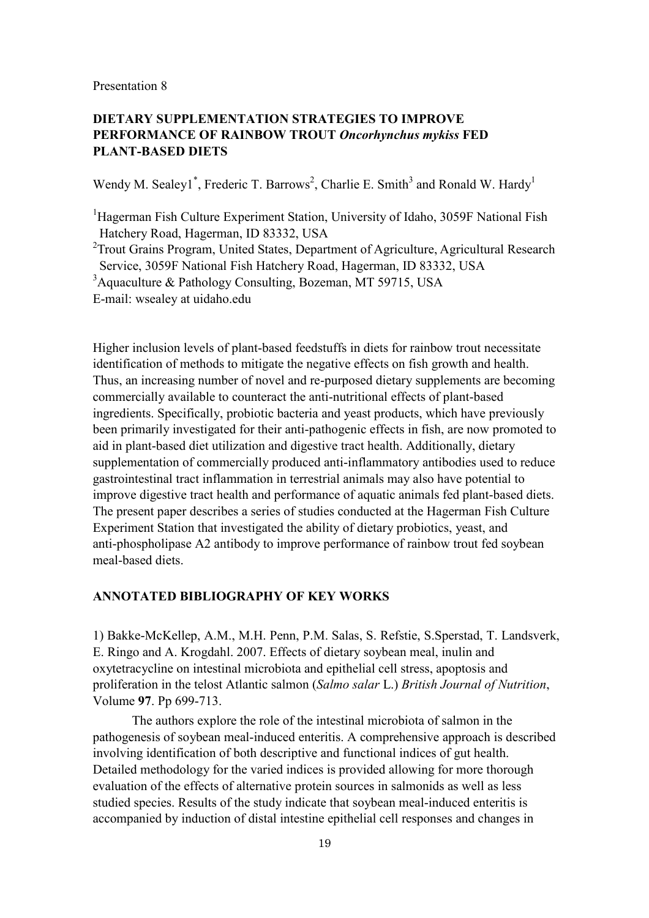## **DIETARY SUPPLEMENTATION STRATEGIES TO IMPROVE PERFORMANCE OF RAINBOW TROUT** *Oncorhynchus mykiss* **FED PLANT-BASED DIETS**

Wendy M. Sealey1<sup>\*</sup>, Frederic T. Barrows<sup>2</sup>, Charlie E. Smith<sup>3</sup> and Ronald W. Hardy<sup>1</sup>

<sup>1</sup>Hagerman Fish Culture Experiment Station, University of Idaho, 3059F National Fish Hatchery Road, Hagerman, ID 83332, USA

<sup>2</sup> Trout Grains Program, United States, Department of Agriculture, Agricultural Research Service, 3059F National Fish Hatchery Road, Hagerman, ID 83332, USA

<sup>3</sup>Aquaculture & Pathology Consulting, Bozeman, MT 59715, USA

E-mail: wsealey at uidaho.edu

Higher inclusion levels of plant-based feedstuffs in diets for rainbow trout necessitate identification of methods to mitigate the negative effects on fish growth and health. Thus, an increasing number of novel and re-purposed dietary supplements are becoming commercially available to counteract the anti-nutritional effects of plant-based ingredients. Specifically, probiotic bacteria and yeast products, which have previously been primarily investigated for their anti-pathogenic effects in fish, are now promoted to aid in plant-based diet utilization and digestive tract health. Additionally, dietary supplementation of commercially produced anti-inflammatory antibodies used to reduce gastrointestinal tract inflammation in terrestrial animals may also have potential to improve digestive tract health and performance of aquatic animals fed plant-based diets. The present paper describes a series of studies conducted at the Hagerman Fish Culture Experiment Station that investigated the ability of dietary probiotics, yeast, and anti-phospholipase A2 antibody to improve performance of rainbow trout fed soybean meal-based diets.

#### **ANNOTATED BIBLIOGRAPHY OF KEY WORKS**

1) Bakke-McKellep, A.M., M.H. Penn, P.M. Salas, S. Refstie, S.Sperstad, T. Landsverk, E. Ringo and A. Krogdahl. 2007. Effects of dietary soybean meal, inulin and oxytetracycline on intestinal microbiota and epithelial cell stress, apoptosis and proliferation in the telost Atlantic salmon (*Salmo salar* L.) *British Journal of Nutrition*, Volume **97**. Pp 699-713.

The authors explore the role of the intestinal microbiota of salmon in the pathogenesis of soybean meal-induced enteritis. A comprehensive approach is described involving identification of both descriptive and functional indices of gut health. Detailed methodology for the varied indices is provided allowing for more thorough evaluation of the effects of alternative protein sources in salmonids as well as less studied species. Results of the study indicate that soybean meal-induced enteritis is accompanied by induction of distal intestine epithelial cell responses and changes in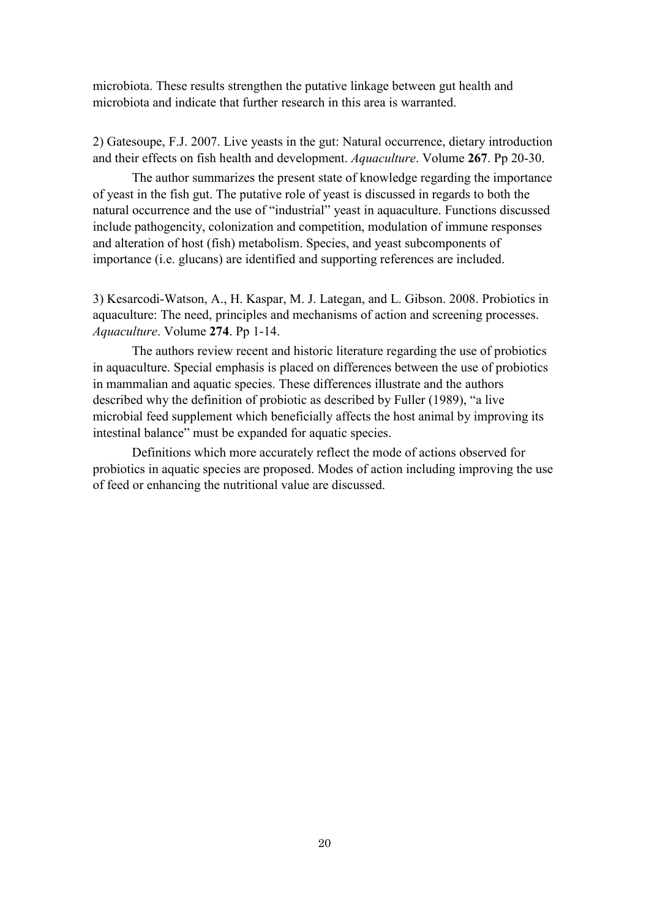microbiota. These results strengthen the putative linkage between gut health and microbiota and indicate that further research in this area is warranted.

2) Gatesoupe, F.J. 2007. Live yeasts in the gut: Natural occurrence, dietary introduction and their effects on fish health and development. *Aquaculture*. Volume **267**. Pp 20-30.

The author summarizes the present state of knowledge regarding the importance of yeast in the fish gut. The putative role of yeast is discussed in regards to both the natural occurrence and the use of "industrial" yeast in aquaculture. Functions discussed include pathogencity, colonization and competition, modulation of immune responses and alteration of host (fish) metabolism. Species, and yeast subcomponents of importance (i.e. glucans) are identified and supporting references are included.

3) Kesarcodi-Watson, A., H. Kaspar, M. J. Lategan, and L. Gibson. 2008. Probiotics in aquaculture: The need, principles and mechanisms of action and screening processes. *Aquaculture*. Volume **274**. Pp 1-14.

The authors review recent and historic literature regarding the use of probiotics in aquaculture. Special emphasis is placed on differences between the use of probiotics in mammalian and aquatic species. These differences illustrate and the authors described why the definition of probiotic as described by Fuller (1989), "a live microbial feed supplement which beneficially affects the host animal by improving its intestinal balance" must be expanded for aquatic species.

Definitions which more accurately reflect the mode of actions observed for probiotics in aquatic species are proposed. Modes of action including improving the use of feed or enhancing the nutritional value are discussed.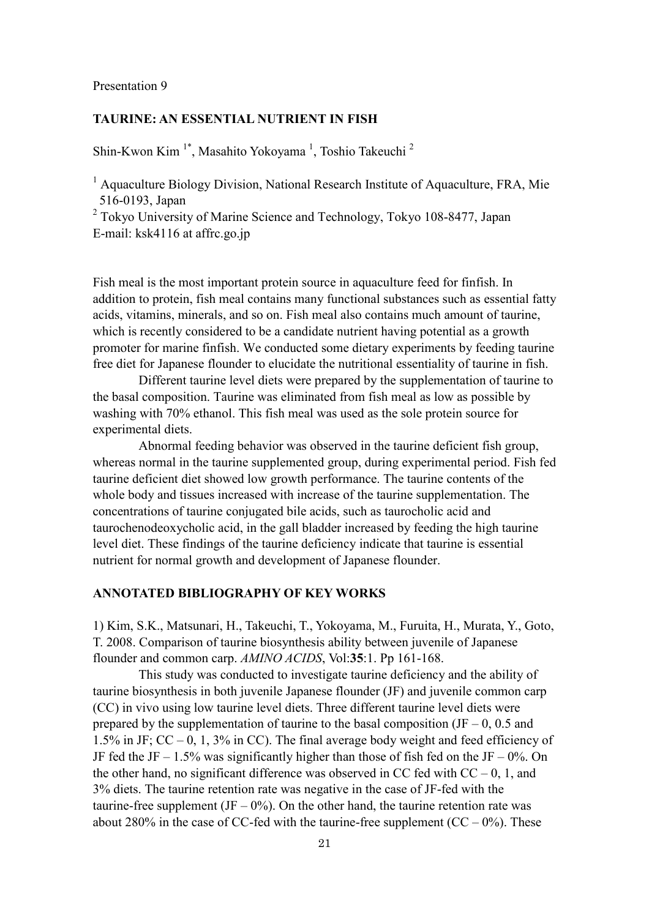## **TAURINE: AN ESSENTIAL NUTRIENT IN FISH**

Shin-Kwon Kim<sup>1\*</sup>, Masahito Yokoyama<sup>1</sup>, Toshio Takeuchi<sup>2</sup>

<sup>1</sup> Aquaculture Biology Division, National Research Institute of Aquaculture, FRA, Mie 516-0193, Japan

<sup>2</sup> Tokyo University of Marine Science and Technology, Tokyo 108-8477, Japan E-mail: ksk4116 at affrc.go.jp

Fish meal is the most important protein source in aquaculture feed for finfish. In addition to protein, fish meal contains many functional substances such as essential fatty acids, vitamins, minerals, and so on. Fish meal also contains much amount of taurine, which is recently considered to be a candidate nutrient having potential as a growth promoter for marine finfish. We conducted some dietary experiments by feeding taurine free diet for Japanese flounder to elucidate the nutritional essentiality of taurine in fish.

Different taurine level diets were prepared by the supplementation of taurine to the basal composition. Taurine was eliminated from fish meal as low as possible by washing with 70% ethanol. This fish meal was used as the sole protein source for experimental diets.

Abnormal feeding behavior was observed in the taurine deficient fish group, whereas normal in the taurine supplemented group, during experimental period. Fish fed taurine deficient diet showed low growth performance. The taurine contents of the whole body and tissues increased with increase of the taurine supplementation. The concentrations of taurine conjugated bile acids, such as taurocholic acid and taurochenodeoxycholic acid, in the gall bladder increased by feeding the high taurine level diet. These findings of the taurine deficiency indicate that taurine is essential nutrient for normal growth and development of Japanese flounder.

## **ANNOTATED BIBLIOGRAPHY OF KEY WORKS**

1) Kim, S.K., Matsunari, H., Takeuchi, T., Yokoyama, M., Furuita, H., Murata, Y., Goto, T. 2008. Comparison of taurine biosynthesis ability between juvenile of Japanese flounder and common carp. *AMINO ACIDS*, Vol:**35**:1. Pp 161-168.

This study was conducted to investigate taurine deficiency and the ability of taurine biosynthesis in both juvenile Japanese flounder (JF) and juvenile common carp (CC) in vivo using low taurine level diets. Three different taurine level diets were prepared by the supplementation of taurine to the basal composition (JF – 0, 0.5 and 1.5% in JF;  $CC - 0$ , 1, 3% in CC). The final average body weight and feed efficiency of JF fed the JF – 1.5% was significantly higher than those of fish fed on the JF – 0%. On the other hand, no significant difference was observed in CC fed with  $CC - 0$ , 1, and 3% diets. The taurine retention rate was negative in the case of JF-fed with the taurine-free supplement  $($ JF – 0 $\frac{9}{6}$ ). On the other hand, the taurine retention rate was about 280% in the case of CC-fed with the taurine-free supplement  $(CC - 0\%)$ . These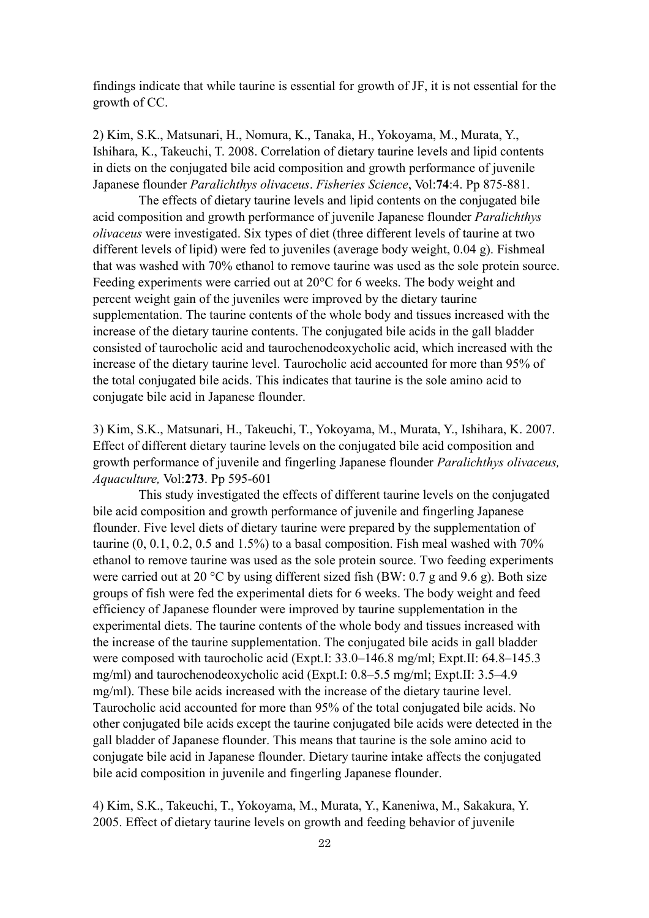findings indicate that while taurine is essential for growth of JF, it is not essential for the growth of CC.

2) Kim, S.K., Matsunari, H., Nomura, K., Tanaka, H., Yokoyama, M., Murata, Y., Ishihara, K., Takeuchi, T. 2008. Correlation of dietary taurine levels and lipid contents in diets on the conjugated bile acid composition and growth performance of juvenile Japanese flounder *Paralichthys olivaceus*. *Fisheries Science*, Vol:**74**:4. Pp 875-881.

The effects of dietary taurine levels and lipid contents on the conjugated bile acid composition and growth performance of juvenile Japanese flounder *Paralichthys olivaceus* were investigated. Six types of diet (three different levels of taurine at two different levels of lipid) were fed to juveniles (average body weight, 0.04 g). Fishmeal that was washed with 70% ethanol to remove taurine was used as the sole protein source. Feeding experiments were carried out at 20°C for 6 weeks. The body weight and percent weight gain of the juveniles were improved by the dietary taurine supplementation. The taurine contents of the whole body and tissues increased with the increase of the dietary taurine contents. The conjugated bile acids in the gall bladder consisted of taurocholic acid and taurochenodeoxycholic acid, which increased with the increase of the dietary taurine level. Taurocholic acid accounted for more than 95% of the total conjugated bile acids. This indicates that taurine is the sole amino acid to conjugate bile acid in Japanese flounder.

3) Kim, S.K., Matsunari, H., Takeuchi, T., Yokoyama, M., Murata, Y., Ishihara, K. 2007. Effect of different dietary taurine levels on the conjugated bile acid composition and growth performance of juvenile and fingerling Japanese flounder *Paralichthys olivaceus, Aquaculture,* Vol:**273**. Pp 595-601

This study investigated the effects of different taurine levels on the conjugated bile acid composition and growth performance of juvenile and fingerling Japanese flounder. Five level diets of dietary taurine were prepared by the supplementation of taurine  $(0, 0.1, 0.2, 0.5, 0.5, 1.5%)$  to a basal composition. Fish meal washed with  $70%$ ethanol to remove taurine was used as the sole protein source. Two feeding experiments were carried out at 20  $\degree$ C by using different sized fish (BW: 0.7 g and 9.6 g). Both size groups of fish were fed the experimental diets for 6 weeks. The body weight and feed efficiency of Japanese flounder were improved by taurine supplementation in the experimental diets. The taurine contents of the whole body and tissues increased with the increase of the taurine supplementation. The conjugated bile acids in gall bladder were composed with taurocholic acid (Expt.I: 33.0–146.8 mg/ml; Expt.II: 64.8–145.3 mg/ml) and taurochenodeoxycholic acid (Expt.I: 0.8–5.5 mg/ml; Expt.II: 3.5–4.9 mg/ml). These bile acids increased with the increase of the dietary taurine level. Taurocholic acid accounted for more than 95% of the total conjugated bile acids. No other conjugated bile acids except the taurine conjugated bile acids were detected in the gall bladder of Japanese flounder. This means that taurine is the sole amino acid to conjugate bile acid in Japanese flounder. Dietary taurine intake affects the conjugated bile acid composition in juvenile and fingerling Japanese flounder.

4) Kim, S.K., Takeuchi, T., Yokoyama, M., Murata, Y., Kaneniwa, M., Sakakura, Y. 2005. Effect of dietary taurine levels on growth and feeding behavior of juvenile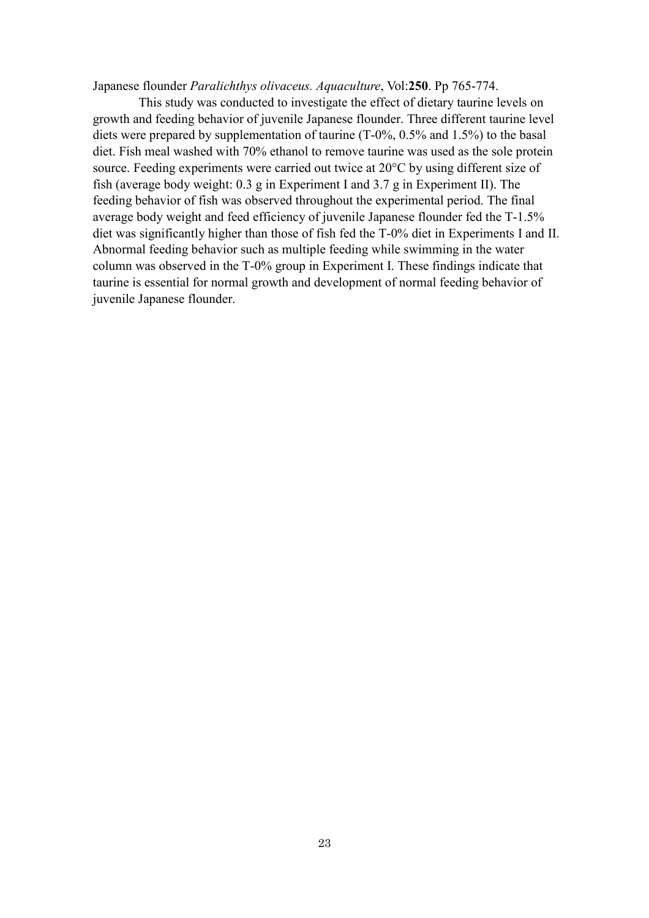Japanese flounder *Paralichthys olivaceus. Aquaculture*, Vol:**250**. Pp 765-774.

This study was conducted to investigate the effect of dietary taurine levels on growth and feeding behavior of juvenile Japanese flounder. Three different taurine level diets were prepared by supplementation of taurine (T-0%, 0.5% and 1.5%) to the basal diet. Fish meal washed with 70% ethanol to remove taurine was used as the sole protein source. Feeding experiments were carried out twice at 20°C by using different size of fish (average body weight: 0.3 g in Experiment I and 3.7 g in Experiment II). The feeding behavior of fish was observed throughout the experimental period. The final average body weight and feed efficiency of juvenile Japanese flounder fed the T-1.5% diet was significantly higher than those of fish fed the T-0% diet in Experiments I and II. Abnormal feeding behavior such as multiple feeding while swimming in the water column was observed in the T-0% group in Experiment I. These findings indicate that taurine is essential for normal growth and development of normal feeding behavior of juvenile Japanese flounder.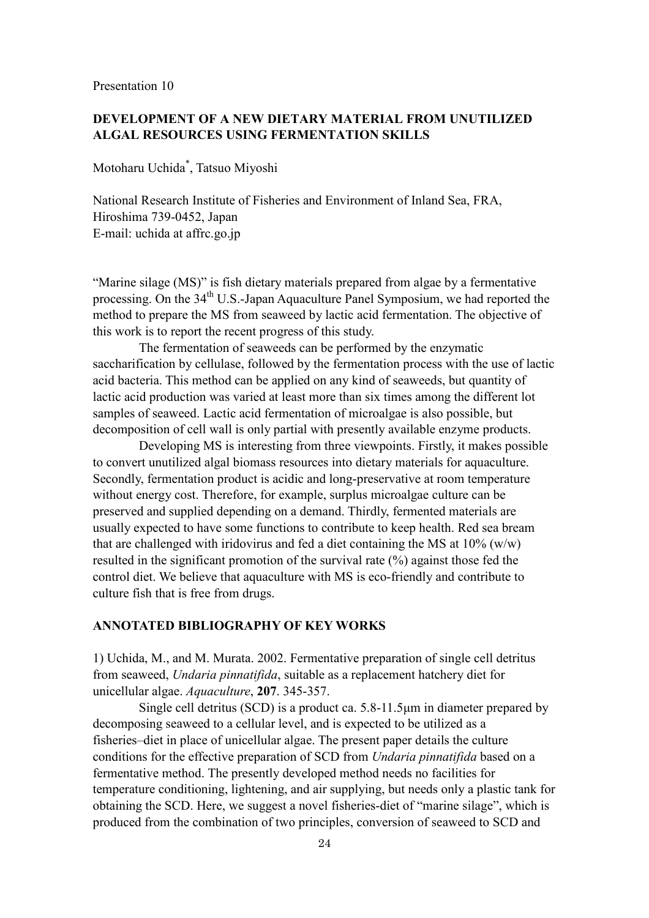## **DEVELOPMENT OF A NEW DIETARY MATERIAL FROM UNUTILIZED ALGAL RESOURCES USING FERMENTATION SKILLS**

Motoharu Uchida\* , Tatsuo Miyoshi

National Research Institute of Fisheries and Environment of Inland Sea, FRA, Hiroshima 739-0452, Japan E-mail: uchida at affrc.go.jp

"Marine silage (MS)" is fish dietary materials prepared from algae by a fermentative processing. On the 34<sup>th</sup> U.S.-Japan Aquaculture Panel Symposium, we had reported the method to prepare the MS from seaweed by lactic acid fermentation. The objective of this work is to report the recent progress of this study.

The fermentation of seaweeds can be performed by the enzymatic saccharification by cellulase, followed by the fermentation process with the use of lactic acid bacteria. This method can be applied on any kind of seaweeds, but quantity of lactic acid production was varied at least more than six times among the different lot samples of seaweed. Lactic acid fermentation of microalgae is also possible, but decomposition of cell wall is only partial with presently available enzyme products.

Developing MS is interesting from three viewpoints. Firstly, it makes possible to convert unutilized algal biomass resources into dietary materials for aquaculture. Secondly, fermentation product is acidic and long-preservative at room temperature without energy cost. Therefore, for example, surplus microalgae culture can be preserved and supplied depending on a demand. Thirdly, fermented materials are usually expected to have some functions to contribute to keep health. Red sea bream that are challenged with iridovirus and fed a diet containing the MS at  $10\%$  (w/w) resulted in the significant promotion of the survival rate (%) against those fed the control diet. We believe that aquaculture with MS is eco-friendly and contribute to culture fish that is free from drugs.

## **ANNOTATED BIBLIOGRAPHY OF KEY WORKS**

1) Uchida, M., and M. Murata. 2002. Fermentative preparation of single cell detritus from seaweed, *Undaria pinnatifida*, suitable as a replacement hatchery diet for unicellular algae. *Aquaculture*, **207**. 345-357.

Single cell detritus (SCD) is a product ca. 5.8-11.5μm in diameter prepared by decomposing seaweed to a cellular level, and is expected to be utilized as a fisheries–diet in place of unicellular algae. The present paper details the culture conditions for the effective preparation of SCD from *Undaria pinnatifida* based on a fermentative method. The presently developed method needs no facilities for temperature conditioning, lightening, and air supplying, but needs only a plastic tank for obtaining the SCD. Here, we suggest a novel fisheries-diet of "marine silage", which is produced from the combination of two principles, conversion of seaweed to SCD and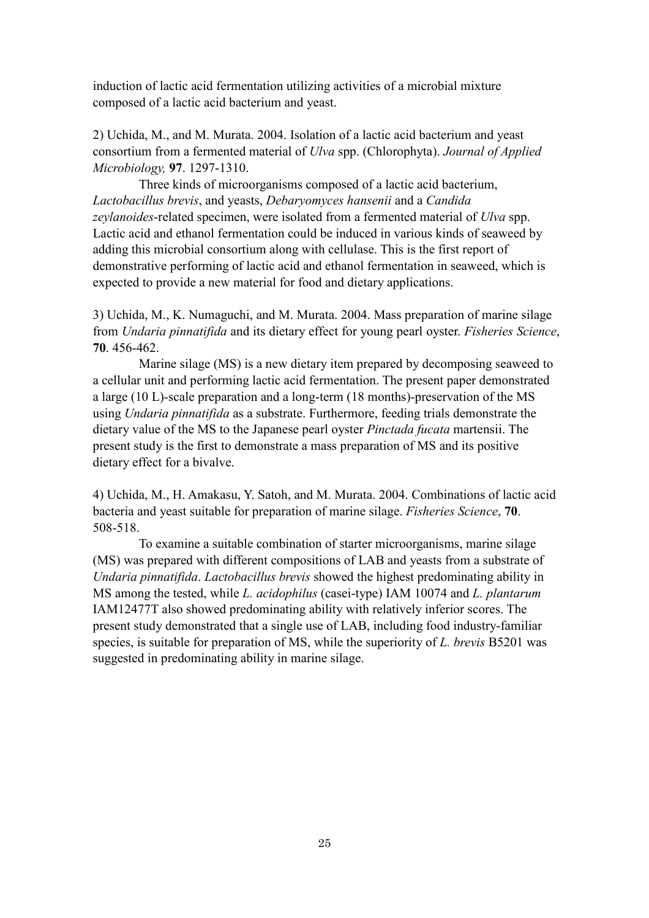induction of lactic acid fermentation utilizing activities of a microbial mixture composed of a lactic acid bacterium and yeast.

2) Uchida, M., and M. Murata. 2004. Isolation of a lactic acid bacterium and yeast consortium from a fermented material of *Ulva* spp. (Chlorophyta). *Journal of Applied Microbiology,* **97**. 1297-1310.

Three kinds of microorganisms composed of a lactic acid bacterium, *Lactobacillus brevis*, and yeasts, *Debaryomyces hansenii* and a *Candida zeylanoides*-related specimen, were isolated from a fermented material of *Ulva* spp. Lactic acid and ethanol fermentation could be induced in various kinds of seaweed by adding this microbial consortium along with cellulase. This is the first report of demonstrative performing of lactic acid and ethanol fermentation in seaweed, which is expected to provide a new material for food and dietary applications.

3) Uchida, M., K. Numaguchi, and M. Murata. 2004. Mass preparation of marine silage from *Undaria pinnatifida* and its dietary effect for young pearl oyster. *Fisheries Science*, **70**. 456-462.

Marine silage (MS) is a new dietary item prepared by decomposing seaweed to a cellular unit and performing lactic acid fermentation. The present paper demonstrated a large (10 L)-scale preparation and a long-term (18 months)-preservation of the MS using *Undaria pinnatifida* as a substrate. Furthermore, feeding trials demonstrate the dietary value of the MS to the Japanese pearl oyster *Pinctada fucata* martensii. The present study is the first to demonstrate a mass preparation of MS and its positive dietary effect for a bivalve.

4) Uchida, M., H. Amakasu, Y. Satoh, and M. Murata. 2004. Combinations of lactic acid bacteria and yeast suitable for preparation of marine silage. *Fisheries Science*, **70**. 508-518.

To examine a suitable combination of starter microorganisms, marine silage (MS) was prepared with different compositions of LAB and yeasts from a substrate of *Undaria pinnatifida*. *Lactobacillus brevis* showed the highest predominating ability in MS among the tested, while *L. acidophilus* (casei-type) IAM 10074 and *L. plantarum* IAM12477T also showed predominating ability with relatively inferior scores. The present study demonstrated that a single use of LAB, including food industry-familiar species, is suitable for preparation of MS, while the superiority of *L. brevis* B5201 was suggested in predominating ability in marine silage.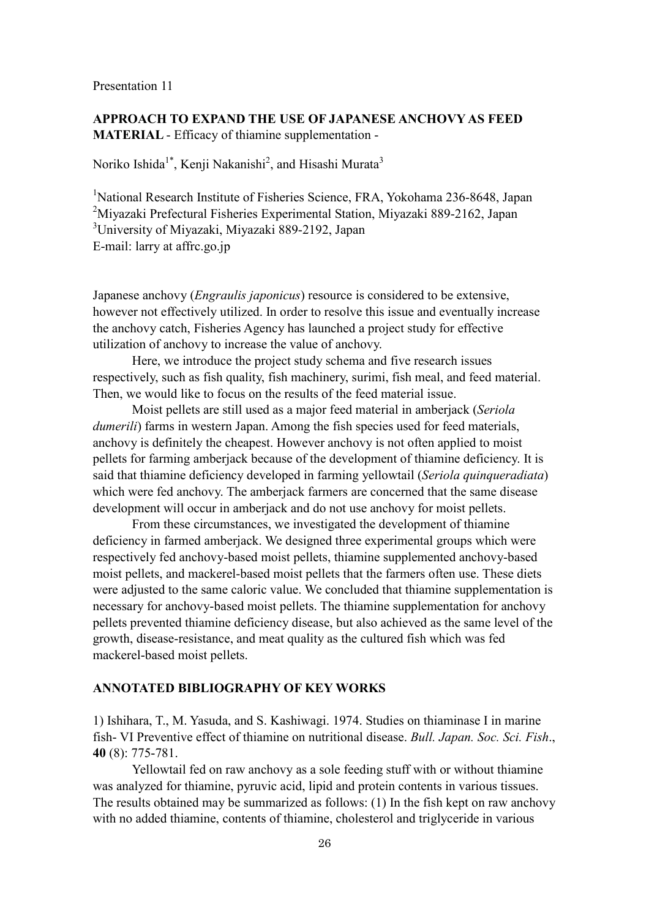## **APPROACH TO EXPAND THE USE OF JAPANESE ANCHOVY AS FEED MATERIAL** - Efficacy of thiamine supplementation -

Noriko Ishida<sup>1\*</sup>, Kenji Nakanishi<sup>2</sup>, and Hisashi Murata<sup>3</sup>

<sup>1</sup>National Research Institute of Fisheries Science, FRA, Yokohama 236-8648, Japan <sup>2</sup>Miyazaki Prefectural Fisheries Experimental Station, Miyazaki 889-2162, Japan <sup>3</sup>University of Miyazaki, Miyazaki 889-2192, Japan E-mail: larry at affrc.go.jp

Japanese anchovy (*Engraulis japonicus*) resource is considered to be extensive, however not effectively utilized. In order to resolve this issue and eventually increase the anchovy catch, Fisheries Agency has launched a project study for effective utilization of anchovy to increase the value of anchovy.

Here, we introduce the project study schema and five research issues respectively, such as fish quality, fish machinery, surimi, fish meal, and feed material. Then, we would like to focus on the results of the feed material issue.

Moist pellets are still used as a major feed material in amberjack (*Seriola dumerili*) farms in western Japan. Among the fish species used for feed materials, anchovy is definitely the cheapest. However anchovy is not often applied to moist pellets for farming amberjack because of the development of thiamine deficiency. It is said that thiamine deficiency developed in farming yellowtail (*Seriola quinqueradiata*) which were fed anchovy. The amberjack farmers are concerned that the same disease development will occur in amberjack and do not use anchovy for moist pellets.

From these circumstances, we investigated the development of thiamine deficiency in farmed amberjack. We designed three experimental groups which were respectively fed anchovy-based moist pellets, thiamine supplemented anchovy-based moist pellets, and mackerel-based moist pellets that the farmers often use. These diets were adjusted to the same caloric value. We concluded that thiamine supplementation is necessary for anchovy-based moist pellets. The thiamine supplementation for anchovy pellets prevented thiamine deficiency disease, but also achieved as the same level of the growth, disease-resistance, and meat quality as the cultured fish which was fed mackerel-based moist pellets.

## **ANNOTATED BIBLIOGRAPHY OF KEY WORKS**

1) Ishihara, T., M. Yasuda, and S. Kashiwagi. 1974. Studies on thiaminase I in marine fish- VI Preventive effect of thiamine on nutritional disease. *Bull. Japan. Soc. Sci. Fish*., **40** (8): 775-781.

Yellowtail fed on raw anchovy as a sole feeding stuff with or without thiamine was analyzed for thiamine, pyruvic acid, lipid and protein contents in various tissues. The results obtained may be summarized as follows: (1) In the fish kept on raw anchovy with no added thiamine, contents of thiamine, cholesterol and triglyceride in various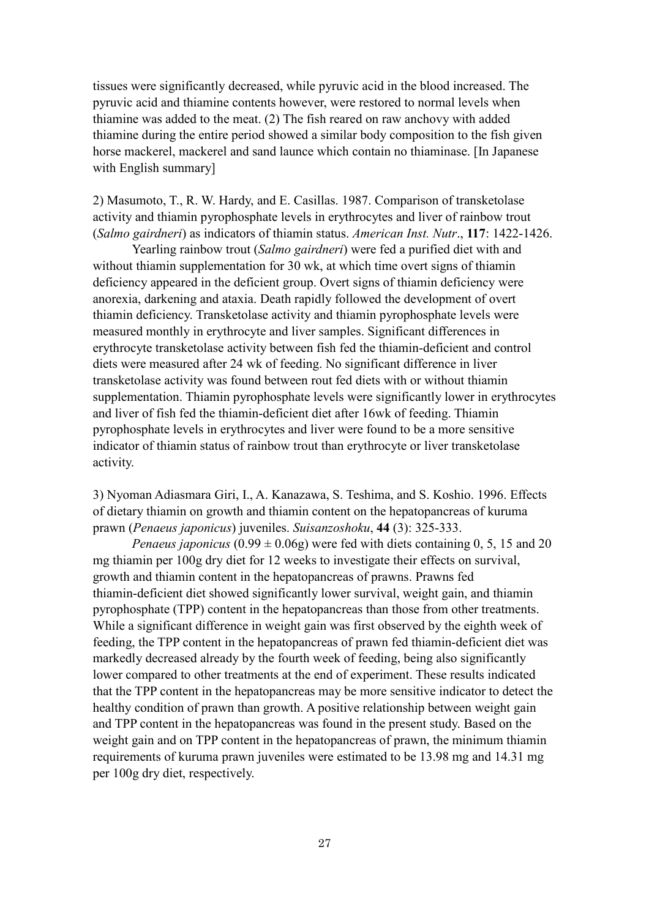tissues were significantly decreased, while pyruvic acid in the blood increased. The pyruvic acid and thiamine contents however, were restored to normal levels when thiamine was added to the meat. (2) The fish reared on raw anchovy with added thiamine during the entire period showed a similar body composition to the fish given horse mackerel, mackerel and sand launce which contain no thiaminase. [In Japanese with English summary]

2) Masumoto, T., R. W. Hardy, and E. Casillas. 1987. Comparison of transketolase activity and thiamin pyrophosphate levels in erythrocytes and liver of rainbow trout (*Salmo gairdneri*) as indicators of thiamin status. *American Inst. Nutr*., **117**: 1422-1426.

Yearling rainbow trout (*Salmo gairdneri*) were fed a purified diet with and without thiamin supplementation for 30 wk, at which time overt signs of thiamin deficiency appeared in the deficient group. Overt signs of thiamin deficiency were anorexia, darkening and ataxia. Death rapidly followed the development of overt thiamin deficiency. Transketolase activity and thiamin pyrophosphate levels were measured monthly in erythrocyte and liver samples. Significant differences in erythrocyte transketolase activity between fish fed the thiamin-deficient and control diets were measured after 24 wk of feeding. No significant difference in liver transketolase activity was found between rout fed diets with or without thiamin supplementation. Thiamin pyrophosphate levels were significantly lower in erythrocytes and liver of fish fed the thiamin-deficient diet after 16wk of feeding. Thiamin pyrophosphate levels in erythrocytes and liver were found to be a more sensitive indicator of thiamin status of rainbow trout than erythrocyte or liver transketolase activity.

3) Nyoman Adiasmara Giri, I., A. Kanazawa, S. Teshima, and S. Koshio. 1996. Effects of dietary thiamin on growth and thiamin content on the hepatopancreas of kuruma prawn (*Penaeus japonicus*) juveniles. *Suisanzoshoku*, **44** (3): 325-333.

*Penaeus japonicus* (0.99  $\pm$  0.06g) were fed with diets containing 0, 5, 15 and 20 mg thiamin per 100g dry diet for 12 weeks to investigate their effects on survival, growth and thiamin content in the hepatopancreas of prawns. Prawns fed thiamin-deficient diet showed significantly lower survival, weight gain, and thiamin pyrophosphate (TPP) content in the hepatopancreas than those from other treatments. While a significant difference in weight gain was first observed by the eighth week of feeding, the TPP content in the hepatopancreas of prawn fed thiamin-deficient diet was markedly decreased already by the fourth week of feeding, being also significantly lower compared to other treatments at the end of experiment. These results indicated that the TPP content in the hepatopancreas may be more sensitive indicator to detect the healthy condition of prawn than growth. A positive relationship between weight gain and TPP content in the hepatopancreas was found in the present study. Based on the weight gain and on TPP content in the hepatopancreas of prawn, the minimum thiamin requirements of kuruma prawn juveniles were estimated to be 13.98 mg and 14.31 mg per 100g dry diet, respectively.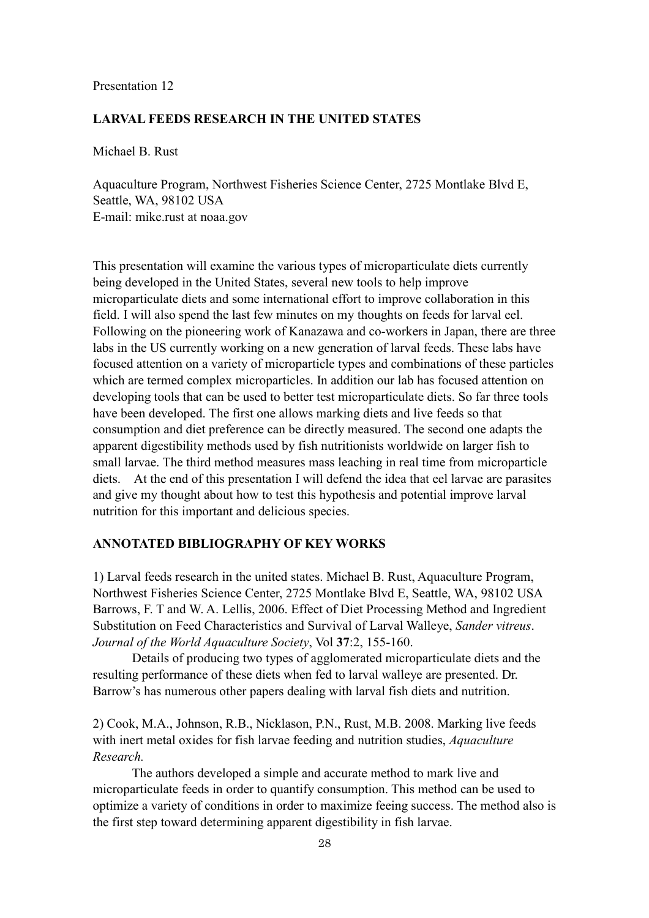#### **LARVAL FEEDS RESEARCH IN THE UNITED STATES**

Michael B. Rust

Aquaculture Program, Northwest Fisheries Science Center, 2725 Montlake Blvd E, Seattle, WA, 98102 USA E-mail: mike.rust at noaa.gov

This presentation will examine the various types of microparticulate diets currently being developed in the United States, several new tools to help improve microparticulate diets and some international effort to improve collaboration in this field. I will also spend the last few minutes on my thoughts on feeds for larval eel. Following on the pioneering work of Kanazawa and co-workers in Japan, there are three labs in the US currently working on a new generation of larval feeds. These labs have focused attention on a variety of microparticle types and combinations of these particles which are termed complex microparticles. In addition our lab has focused attention on developing tools that can be used to better test microparticulate diets. So far three tools have been developed. The first one allows marking diets and live feeds so that consumption and diet preference can be directly measured. The second one adapts the apparent digestibility methods used by fish nutritionists worldwide on larger fish to small larvae. The third method measures mass leaching in real time from microparticle diets. At the end of this presentation I will defend the idea that eel larvae are parasites and give my thought about how to test this hypothesis and potential improve larval nutrition for this important and delicious species.

## **ANNOTATED BIBLIOGRAPHY OF KEY WORKS**

1) Larval feeds research in the united states. Michael B. Rust, Aquaculture Program, Northwest Fisheries Science Center, 2725 Montlake Blvd E, Seattle, WA, 98102 USA Barrows, F. T and W. A. Lellis, 2006. Effect of Diet Processing Method and Ingredient Substitution on Feed Characteristics and Survival of Larval Walleye, *Sander vitreus*. *Journal of the World Aquaculture Society*, Vol **37**:2, 155-160.

Details of producing two types of agglomerated microparticulate diets and the resulting performance of these diets when fed to larval walleye are presented. Dr. Barrow's has numerous other papers dealing with larval fish diets and nutrition.

2) Cook, M.A., Johnson, R.B., Nicklason, P.N., Rust, M.B. 2008. Marking live feeds with inert metal oxides for fish larvae feeding and nutrition studies, *Aquaculture Research.*

The authors developed a simple and accurate method to mark live and microparticulate feeds in order to quantify consumption. This method can be used to optimize a variety of conditions in order to maximize feeing success. The method also is the first step toward determining apparent digestibility in fish larvae.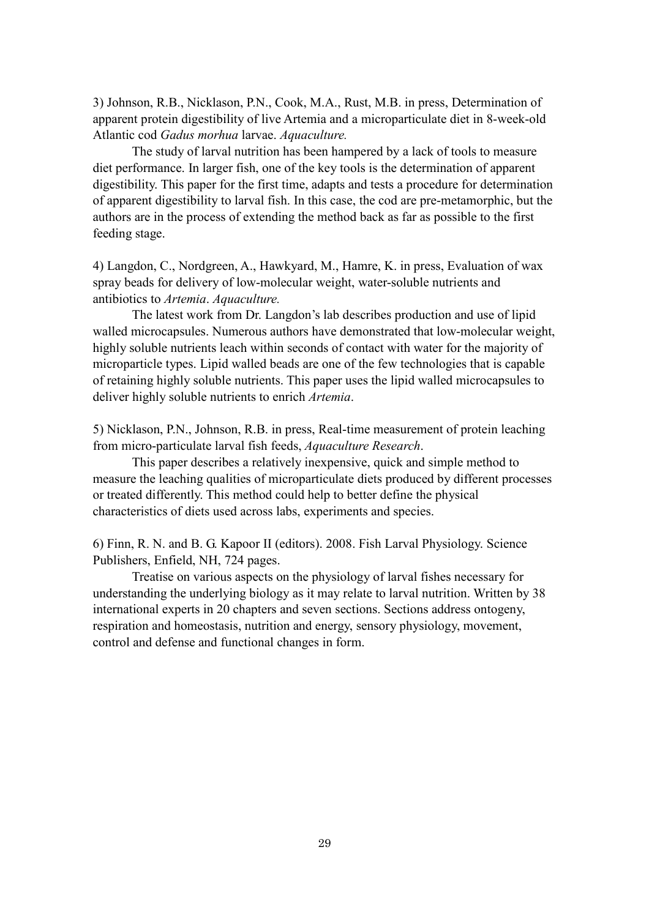3) Johnson, R.B., Nicklason, P.N., Cook, M.A., Rust, M.B. in press, Determination of apparent protein digestibility of live Artemia and a microparticulate diet in 8-week-old Atlantic cod *Gadus morhua* larvae. *Aquaculture.*

The study of larval nutrition has been hampered by a lack of tools to measure diet performance. In larger fish, one of the key tools is the determination of apparent digestibility. This paper for the first time, adapts and tests a procedure for determination of apparent digestibility to larval fish. In this case, the cod are pre-metamorphic, but the authors are in the process of extending the method back as far as possible to the first feeding stage.

4) Langdon, C., Nordgreen, A., Hawkyard, M., Hamre, K. in press, Evaluation of wax spray beads for delivery of low-molecular weight, water-soluble nutrients and antibiotics to *Artemia*. *Aquaculture.*

The latest work from Dr. Langdon's lab describes production and use of lipid walled microcapsules. Numerous authors have demonstrated that low-molecular weight, highly soluble nutrients leach within seconds of contact with water for the majority of microparticle types. Lipid walled beads are one of the few technologies that is capable of retaining highly soluble nutrients. This paper uses the lipid walled microcapsules to deliver highly soluble nutrients to enrich *Artemia*.

5) Nicklason, P.N., Johnson, R.B. in press, Real-time measurement of protein leaching from micro-particulate larval fish feeds, *Aquaculture Research*.

This paper describes a relatively inexpensive, quick and simple method to measure the leaching qualities of microparticulate diets produced by different processes or treated differently. This method could help to better define the physical characteristics of diets used across labs, experiments and species.

6) Finn, R. N. and B. G. Kapoor II (editors). 2008. Fish Larval Physiology. Science Publishers, Enfield, NH, 724 pages.

Treatise on various aspects on the physiology of larval fishes necessary for understanding the underlying biology as it may relate to larval nutrition. Written by 38 international experts in 20 chapters and seven sections. Sections address ontogeny, respiration and homeostasis, nutrition and energy, sensory physiology, movement, control and defense and functional changes in form.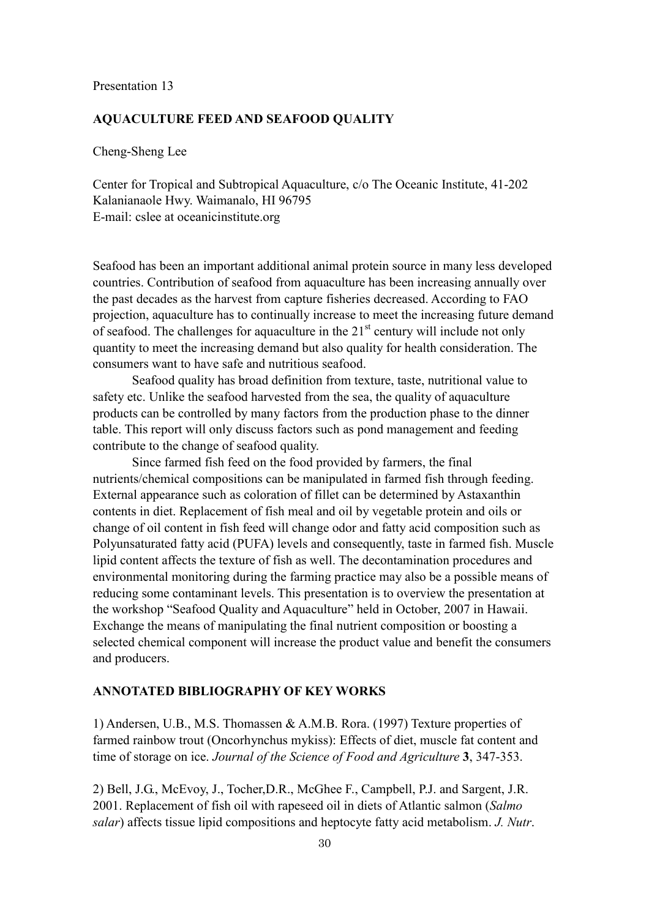#### **AQUACULTURE FEED AND SEAFOOD QUALITY**

Cheng-Sheng Lee

Center for Tropical and Subtropical Aquaculture, c/o The Oceanic Institute, 41-202 Kalanianaole Hwy. Waimanalo, HI 96795 E-mail: cslee at oceanicinstitute.org

Seafood has been an important additional animal protein source in many less developed countries. Contribution of seafood from aquaculture has been increasing annually over the past decades as the harvest from capture fisheries decreased. According to FAO projection, aquaculture has to continually increase to meet the increasing future demand of seafood. The challenges for aquaculture in the  $21<sup>st</sup>$  century will include not only quantity to meet the increasing demand but also quality for health consideration. The consumers want to have safe and nutritious seafood.

Seafood quality has broad definition from texture, taste, nutritional value to safety etc. Unlike the seafood harvested from the sea, the quality of aquaculture products can be controlled by many factors from the production phase to the dinner table. This report will only discuss factors such as pond management and feeding contribute to the change of seafood quality.

Since farmed fish feed on the food provided by farmers, the final nutrients/chemical compositions can be manipulated in farmed fish through feeding. External appearance such as coloration of fillet can be determined by Astaxanthin contents in diet. Replacement of fish meal and oil by vegetable protein and oils or change of oil content in fish feed will change odor and fatty acid composition such as Polyunsaturated fatty acid (PUFA) levels and consequently, taste in farmed fish. Muscle lipid content affects the texture of fish as well. The decontamination procedures and environmental monitoring during the farming practice may also be a possible means of reducing some contaminant levels. This presentation is to overview the presentation at the workshop "Seafood Quality and Aquaculture" held in October, 2007 in Hawaii. Exchange the means of manipulating the final nutrient composition or boosting a selected chemical component will increase the product value and benefit the consumers and producers.

## **ANNOTATED BIBLIOGRAPHY OF KEY WORKS**

1) Andersen, U.B., M.S. Thomassen & A.M.B. Rora. (1997) Texture properties of farmed rainbow trout (Oncorhynchus mykiss): Effects of diet, muscle fat content and time of storage on ice. *Journal of the Science of Food and Agriculture* **3**, 347-353.

2) Bell, J.G., McEvoy, J., Tocher,D.R., McGhee F., Campbell, P.J. and Sargent, J.R. 2001. Replacement of fish oil with rapeseed oil in diets of Atlantic salmon (*Salmo salar*) affects tissue lipid compositions and heptocyte fatty acid metabolism. *J. Nutr*.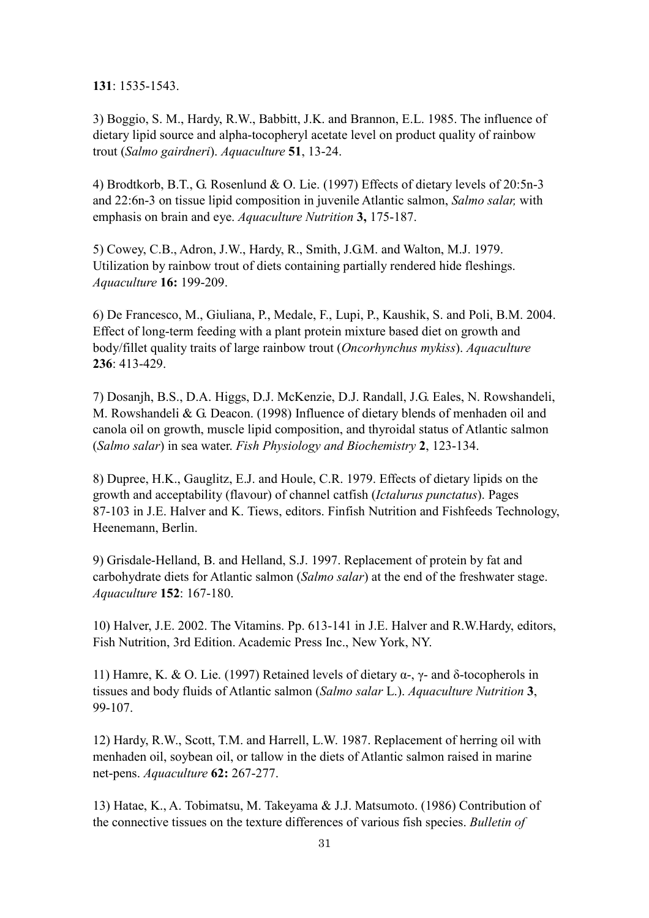**131**: 1535-1543.

3) Boggio, S. M., Hardy, R.W., Babbitt, J.K. and Brannon, E.L. 1985. The influence of dietary lipid source and alpha-tocopheryl acetate level on product quality of rainbow trout (*Salmo gairdneri*). *Aquaculture* **51**, 13-24.

4) Brodtkorb, B.T., G. Rosenlund & O. Lie. (1997) Effects of dietary levels of 20:5n-3 and 22:6n-3 on tissue lipid composition in juvenile Atlantic salmon, *Salmo salar,* with emphasis on brain and eye. *Aquaculture Nutrition* **3,** 175-187.

5) Cowey, C.B., Adron, J.W., Hardy, R., Smith, J.G.M. and Walton, M.J. 1979. Utilization by rainbow trout of diets containing partially rendered hide fleshings. *Aquaculture* **16:** 199-209.

6) De Francesco, M., Giuliana, P., Medale, F., Lupi, P., Kaushik, S. and Poli, B.M. 2004. Effect of long-term feeding with a plant protein mixture based diet on growth and body/fillet quality traits of large rainbow trout (*Oncorhynchus mykiss*). *Aquaculture* **236**: 413-429.

7) Dosanjh, B.S., D.A. Higgs, D.J. McKenzie, D.J. Randall, J.G. Eales, N. Rowshandeli, M. Rowshandeli & G. Deacon. (1998) Influence of dietary blends of menhaden oil and canola oil on growth, muscle lipid composition, and thyroidal status of Atlantic salmon (*Salmo salar*) in sea water. *Fish Physiology and Biochemistry* **2**, 123-134.

8) Dupree, H.K., Gauglitz, E.J. and Houle, C.R. 1979. Effects of dietary lipids on the growth and acceptability (flavour) of channel catfish (*Ictalurus punctatus*). Pages 87-103 in J.E. Halver and K. Tiews, editors. Finfish Nutrition and Fishfeeds Technology, Heenemann, Berlin.

9) Grisdale-Helland, B. and Helland, S.J. 1997. Replacement of protein by fat and carbohydrate diets for Atlantic salmon (*Salmo salar*) at the end of the freshwater stage. *Aquaculture* **152**: 167-180.

10) Halver, J.E. 2002. The Vitamins. Pp. 613-141 in J.E. Halver and R.W.Hardy, editors, Fish Nutrition, 3rd Edition. Academic Press Inc., New York, NY.

11) Hamre, K. & O. Lie. (1997) Retained levels of dietary α-, γ- and δ-tocopherols in tissues and body fluids of Atlantic salmon (*Salmo salar* L.). *Aquaculture Nutrition* **3**, 99-107.

12) Hardy, R.W., Scott, T.M. and Harrell, L.W. 1987. Replacement of herring oil with menhaden oil, soybean oil, or tallow in the diets of Atlantic salmon raised in marine net-pens. *Aquaculture* **62:** 267-277.

13) Hatae, K., A. Tobimatsu, M. Takeyama & J.J. Matsumoto. (1986) Contribution of the connective tissues on the texture differences of various fish species. *Bulletin of*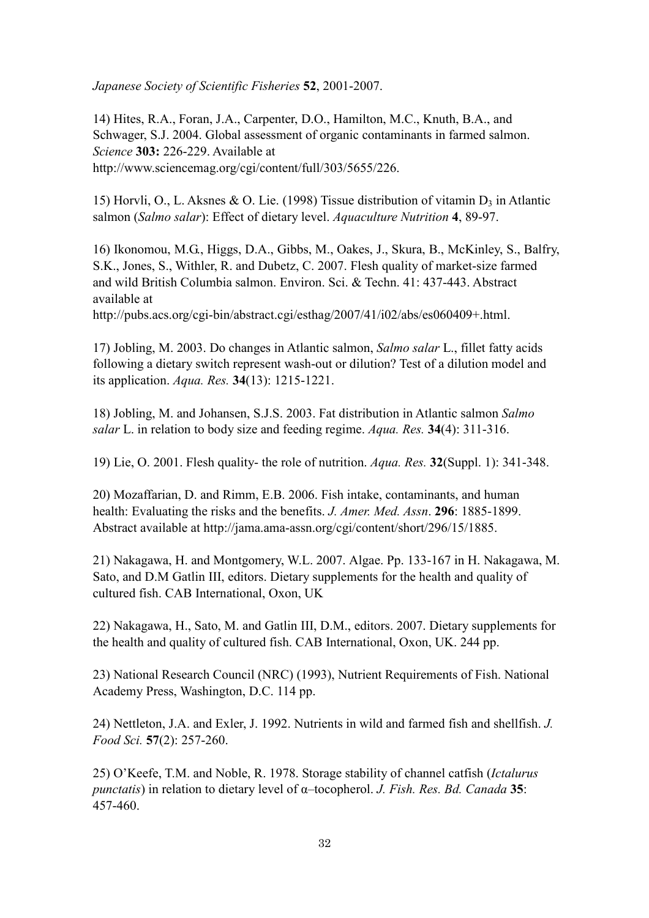*Japanese Society of Scientific Fisheries* **52**, 2001-2007.

14) Hites, R.A., Foran, J.A., Carpenter, D.O., Hamilton, M.C., Knuth, B.A., and Schwager, S.J. 2004. Global assessment of organic contaminants in farmed salmon. *Science* **303:** 226-229. Available at http://www.sciencemag.org/cgi/content/full/303/5655/226.

15) Horvli, O., L. Aksnes & O. Lie. (1998) Tissue distribution of vitamin  $D_3$  in Atlantic salmon (*Salmo salar*): Effect of dietary level. *Aquaculture Nutrition* **4**, 89-97.

16) Ikonomou, M.G., Higgs, D.A., Gibbs, M., Oakes, J., Skura, B., McKinley, S., Balfry, S.K., Jones, S., Withler, R. and Dubetz, C. 2007. Flesh quality of market-size farmed and wild British Columbia salmon. Environ. Sci. & Techn. 41: 437-443. Abstract available at

http://pubs.acs.org/cgi-bin/abstract.cgi/esthag/2007/41/i02/abs/es060409+.html.

17) Jobling, M. 2003. Do changes in Atlantic salmon, *Salmo salar* L., fillet fatty acids following a dietary switch represent wash-out or dilution? Test of a dilution model and its application. *Aqua. Res.* **34**(13): 1215-1221.

18) Jobling, M. and Johansen, S.J.S. 2003. Fat distribution in Atlantic salmon *Salmo salar* L. in relation to body size and feeding regime. *Aqua. Res.* **34**(4): 311-316.

19) Lie, O. 2001. Flesh quality- the role of nutrition. *Aqua. Res.* **32**(Suppl. 1): 341-348.

20) Mozaffarian, D. and Rimm, E.B. 2006. Fish intake, contaminants, and human health: Evaluating the risks and the benefits. *J. Amer. Med. Assn*. **296**: 1885-1899. Abstract available at http://jama.ama-assn.org/cgi/content/short/296/15/1885.

21) Nakagawa, H. and Montgomery, W.L. 2007. Algae. Pp. 133-167 in H. Nakagawa, M. Sato, and D.M Gatlin III, editors. Dietary supplements for the health and quality of cultured fish. CAB International, Oxon, UK

22) Nakagawa, H., Sato, M. and Gatlin III, D.M., editors. 2007. Dietary supplements for the health and quality of cultured fish. CAB International, Oxon, UK. 244 pp.

23) National Research Council (NRC) (1993), Nutrient Requirements of Fish. National Academy Press, Washington, D.C. 114 pp.

24) Nettleton, J.A. and Exler, J. 1992. Nutrients in wild and farmed fish and shellfish. *J. Food Sci.* **57**(2): 257-260.

25) O'Keefe, T.M. and Noble, R. 1978. Storage stability of channel catfish (*Ictalurus punctatis*) in relation to dietary level of α–tocopherol. *J. Fish. Res. Bd. Canada* **35**: 457-460.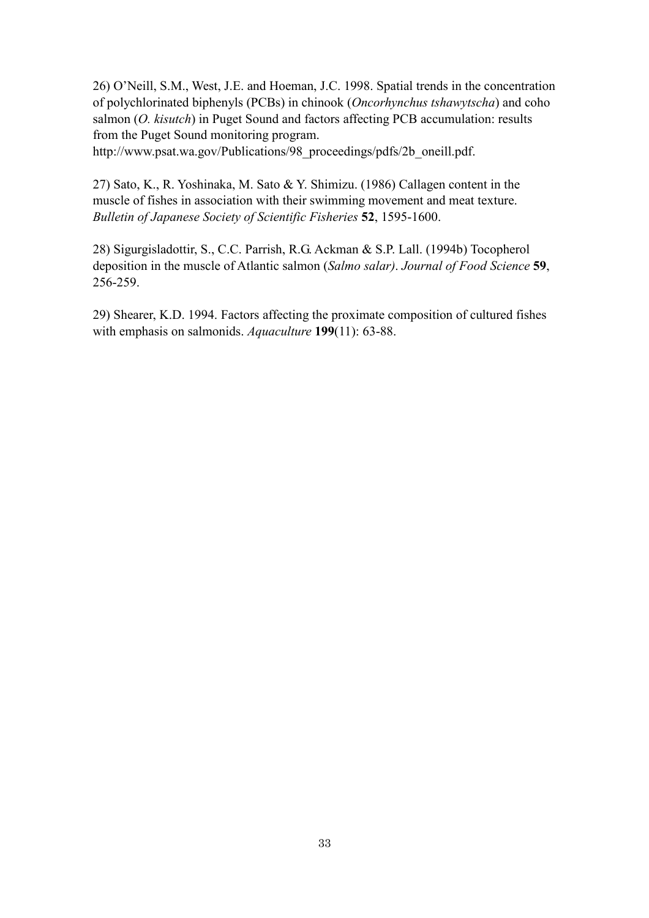26) O'Neill, S.M., West, J.E. and Hoeman, J.C. 1998. Spatial trends in the concentration of polychlorinated biphenyls (PCBs) in chinook (*Oncorhynchus tshawytscha*) and coho salmon (*O. kisutch*) in Puget Sound and factors affecting PCB accumulation: results from the Puget Sound monitoring program.

http://www.psat.wa.gov/Publications/98\_proceedings/pdfs/2b\_oneill.pdf.

27) Sato, K., R. Yoshinaka, M. Sato & Y. Shimizu. (1986) Callagen content in the muscle of fishes in association with their swimming movement and meat texture. *Bulletin of Japanese Society of Scientific Fisheries* **52**, 1595-1600.

28) Sigurgisladottir, S., C.C. Parrish, R.G. Ackman & S.P. Lall. (1994b) Tocopherol deposition in the muscle of Atlantic salmon (*Salmo salar)*. *Journal of Food Science* **59**, 256-259.

29) Shearer, K.D. 1994. Factors affecting the proximate composition of cultured fishes with emphasis on salmonids. *Aquaculture* **199**(11): 63-88.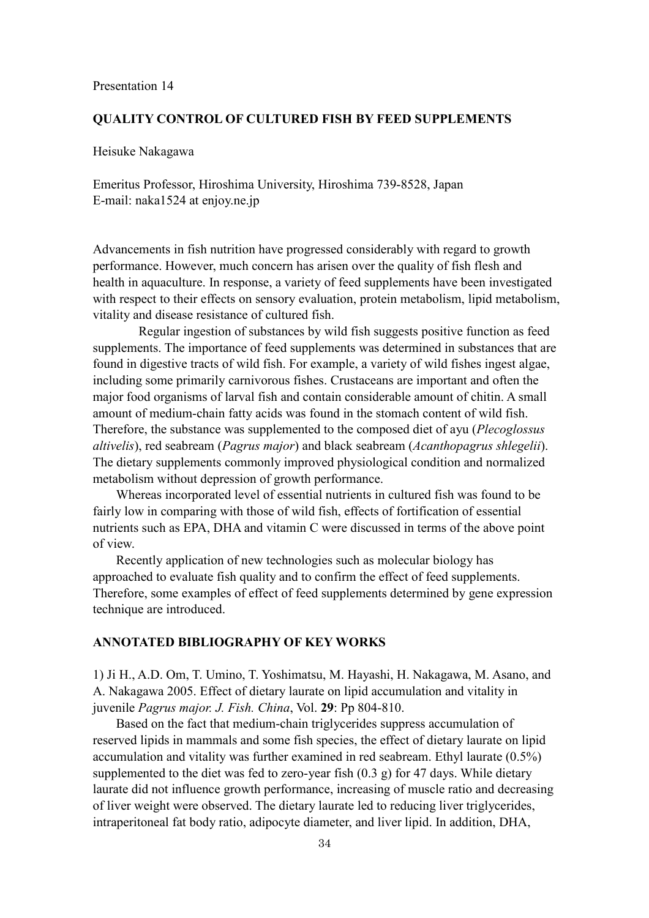#### **QUALITY CONTROL OF CULTURED FISH BY FEED SUPPLEMENTS**

Heisuke Nakagawa

Emeritus Professor, Hiroshima University, Hiroshima 739-8528, Japan E-mail: naka1524 at enjoy.ne.jp

Advancements in fish nutrition have progressed considerably with regard to growth performance. However, much concern has arisen over the quality of fish flesh and health in aquaculture. In response, a variety of feed supplements have been investigated with respect to their effects on sensory evaluation, protein metabolism, lipid metabolism, vitality and disease resistance of cultured fish.

Regular ingestion of substances by wild fish suggests positive function as feed supplements. The importance of feed supplements was determined in substances that are found in digestive tracts of wild fish. For example, a variety of wild fishes ingest algae, including some primarily carnivorous fishes. Crustaceans are important and often the major food organisms of larval fish and contain considerable amount of chitin. A small amount of medium-chain fatty acids was found in the stomach content of wild fish. Therefore, the substance was supplemented to the composed diet of ayu (*Plecoglossus altivelis*), red seabream (*Pagrus major*) and black seabream (*Acanthopagrus shlegelii*). The dietary supplements commonly improved physiological condition and normalized metabolism without depression of growth performance.

Whereas incorporated level of essential nutrients in cultured fish was found to be fairly low in comparing with those of wild fish, effects of fortification of essential nutrients such as EPA, DHA and vitamin C were discussed in terms of the above point of view.

Recently application of new technologies such as molecular biology has approached to evaluate fish quality and to confirm the effect of feed supplements. Therefore, some examples of effect of feed supplements determined by gene expression technique are introduced.

## **ANNOTATED BIBLIOGRAPHY OF KEY WORKS**

1) Ji H., A.D. Om, T. Umino, T. Yoshimatsu, M. Hayashi, H. Nakagawa, M. Asano, and A. Nakagawa 2005. Effect of dietary laurate on lipid accumulation and vitality in juvenile *Pagrus major. J. Fish. China*, Vol. **29**: Pp 804-810.

Based on the fact that medium-chain triglycerides suppress accumulation of reserved lipids in mammals and some fish species, the effect of dietary laurate on lipid accumulation and vitality was further examined in red seabream. Ethyl laurate (0.5%) supplemented to the diet was fed to zero-year fish (0.3 g) for 47 days. While dietary laurate did not influence growth performance, increasing of muscle ratio and decreasing of liver weight were observed. The dietary laurate led to reducing liver triglycerides, intraperitoneal fat body ratio, adipocyte diameter, and liver lipid. In addition, DHA,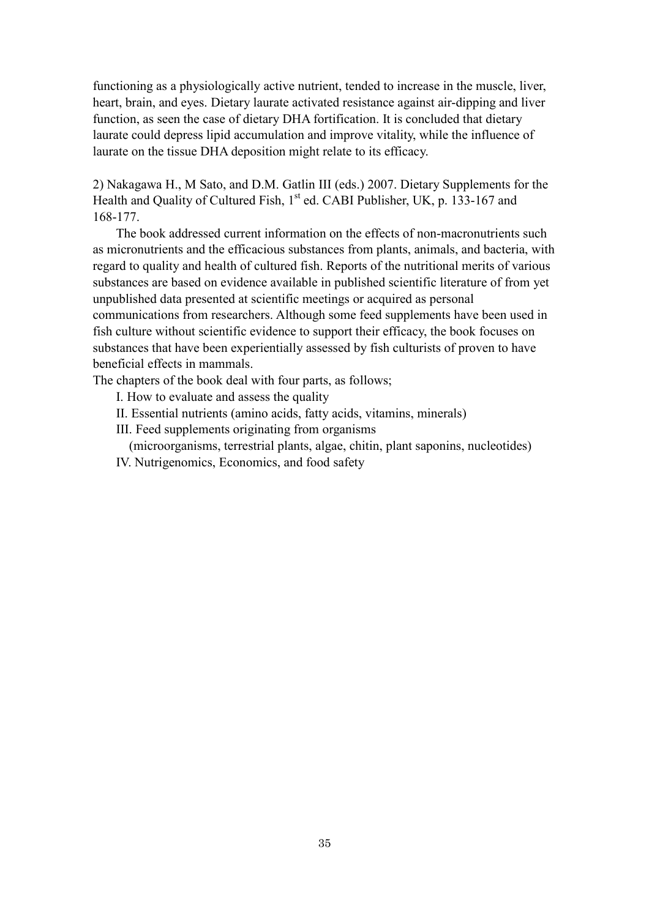functioning as a physiologically active nutrient, tended to increase in the muscle, liver, heart, brain, and eyes. Dietary laurate activated resistance against air-dipping and liver function, as seen the case of dietary DHA fortification. It is concluded that dietary laurate could depress lipid accumulation and improve vitality, while the influence of laurate on the tissue DHA deposition might relate to its efficacy.

2) Nakagawa H., M Sato, and D.M. Gatlin III (eds.) 2007. Dietary Supplements for the Health and Quality of Cultured Fish,  $1<sup>st</sup>$  ed. CABI Publisher, UK, p. 133-167 and 168-177.

The book addressed current information on the effects of non-macronutrients such as micronutrients and the efficacious substances from plants, animals, and bacteria, with regard to quality and health of cultured fish. Reports of the nutritional merits of various substances are based on evidence available in published scientific literature of from yet unpublished data presented at scientific meetings or acquired as personal communications from researchers. Although some feed supplements have been used in fish culture without scientific evidence to support their efficacy, the book focuses on substances that have been experientially assessed by fish culturists of proven to have beneficial effects in mammals.

The chapters of the book deal with four parts, as follows;

- I. How to evaluate and assess the quality
- II. Essential nutrients (amino acids, fatty acids, vitamins, minerals)
- III. Feed supplements originating from organisms
- (microorganisms, terrestrial plants, algae, chitin, plant saponins, nucleotides) IV. Nutrigenomics, Economics, and food safety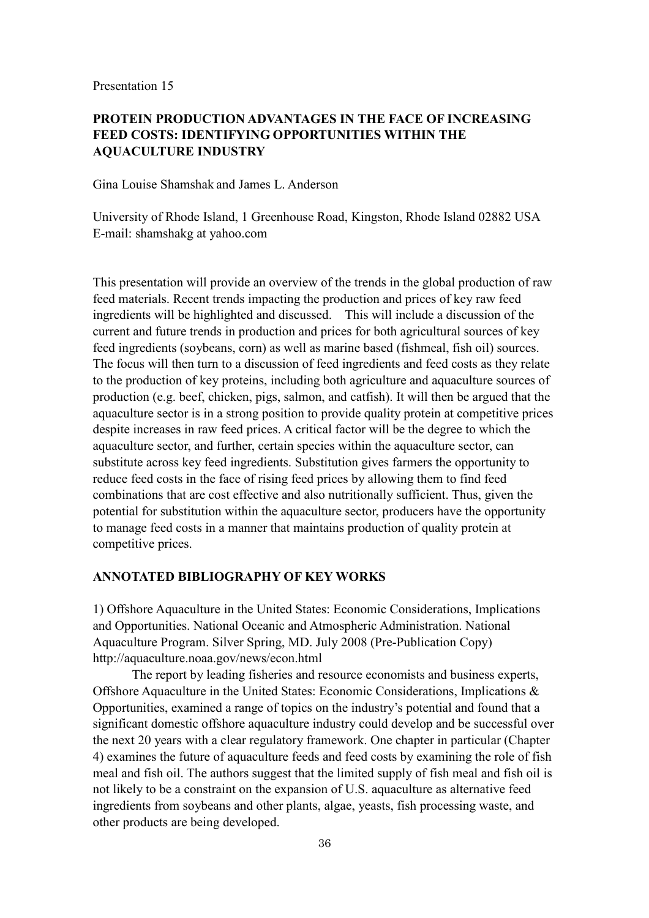## **PROTEIN PRODUCTION ADVANTAGES IN THE FACE OF INCREASING FEED COSTS: IDENTIFYING OPPORTUNITIES WITHIN THE AQUACULTURE INDUSTRY**

Gina Louise Shamshak and James L. Anderson

University of Rhode Island, 1 Greenhouse Road, Kingston, Rhode Island 02882 USA E-mail: shamshakg at yahoo.com

This presentation will provide an overview of the trends in the global production of raw feed materials. Recent trends impacting the production and prices of key raw feed ingredients will be highlighted and discussed. This will include a discussion of the current and future trends in production and prices for both agricultural sources of key feed ingredients (soybeans, corn) as well as marine based (fishmeal, fish oil) sources. The focus will then turn to a discussion of feed ingredients and feed costs as they relate to the production of key proteins, including both agriculture and aquaculture sources of production (e.g. beef, chicken, pigs, salmon, and catfish). It will then be argued that the aquaculture sector is in a strong position to provide quality protein at competitive prices despite increases in raw feed prices. A critical factor will be the degree to which the aquaculture sector, and further, certain species within the aquaculture sector, can substitute across key feed ingredients. Substitution gives farmers the opportunity to reduce feed costs in the face of rising feed prices by allowing them to find feed combinations that are cost effective and also nutritionally sufficient. Thus, given the potential for substitution within the aquaculture sector, producers have the opportunity to manage feed costs in a manner that maintains production of quality protein at competitive prices.

#### **ANNOTATED BIBLIOGRAPHY OF KEY WORKS**

1) Offshore Aquaculture in the United States: Economic Considerations, Implications and Opportunities. National Oceanic and Atmospheric Administration. National Aquaculture Program. Silver Spring, MD. July 2008 (Pre-Publication Copy) http://aquaculture.noaa.gov/news/econ.html

The report by leading fisheries and resource economists and business experts, Offshore Aquaculture in the United States: Economic Considerations, Implications & Opportunities, examined a range of topics on the industry's potential and found that a significant domestic offshore aquaculture industry could develop and be successful over the next 20 years with a clear regulatory framework. One chapter in particular (Chapter 4) examines the future of aquaculture feeds and feed costs by examining the role of fish meal and fish oil. The authors suggest that the limited supply of fish meal and fish oil is not likely to be a constraint on the expansion of U.S. aquaculture as alternative feed ingredients from soybeans and other plants, algae, yeasts, fish processing waste, and other products are being developed.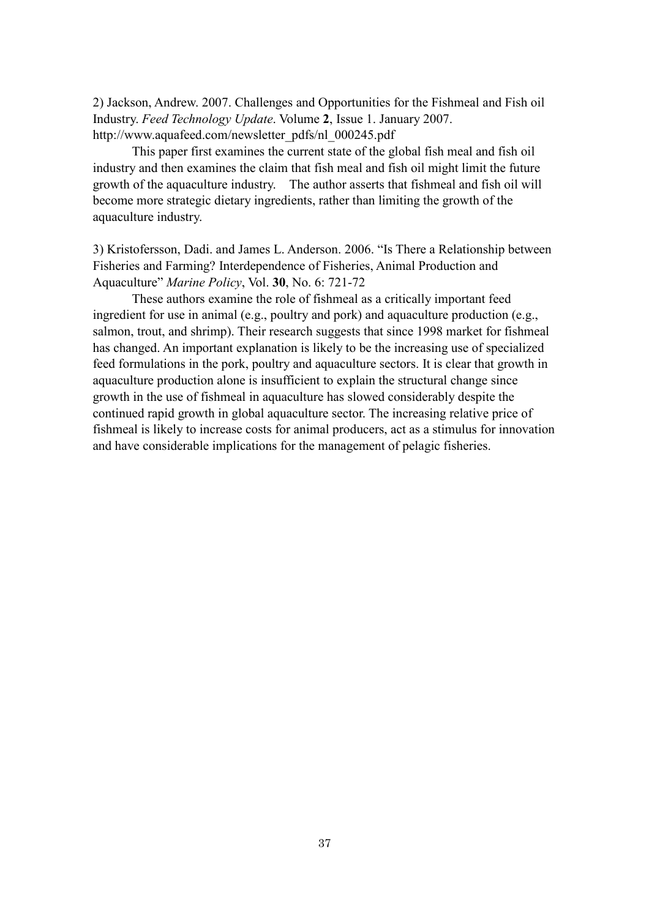2) Jackson, Andrew. 2007. Challenges and Opportunities for the Fishmeal and Fish oil Industry. *Feed Technology Update*. Volume **2**, Issue 1. January 2007. http://www.aquafeed.com/newsletter\_pdfs/nl\_000245.pdf

This paper first examines the current state of the global fish meal and fish oil industry and then examines the claim that fish meal and fish oil might limit the future growth of the aquaculture industry. The author asserts that fishmeal and fish oil will become more strategic dietary ingredients, rather than limiting the growth of the aquaculture industry.

3) Kristofersson, Dadi. and James L. Anderson. 2006. "Is There a Relationship between Fisheries and Farming? Interdependence of Fisheries, Animal Production and Aquaculture" *Marine Policy*, Vol. **30**, No. 6: 721-72

These authors examine the role of fishmeal as a critically important feed ingredient for use in animal (e.g., poultry and pork) and aquaculture production (e.g., salmon, trout, and shrimp). Their research suggests that since 1998 market for fishmeal has changed. An important explanation is likely to be the increasing use of specialized feed formulations in the pork, poultry and aquaculture sectors. It is clear that growth in aquaculture production alone is insufficient to explain the structural change since growth in the use of fishmeal in aquaculture has slowed considerably despite the continued rapid growth in global aquaculture sector. The increasing relative price of fishmeal is likely to increase costs for animal producers, act as a stimulus for innovation and have considerable implications for the management of pelagic fisheries.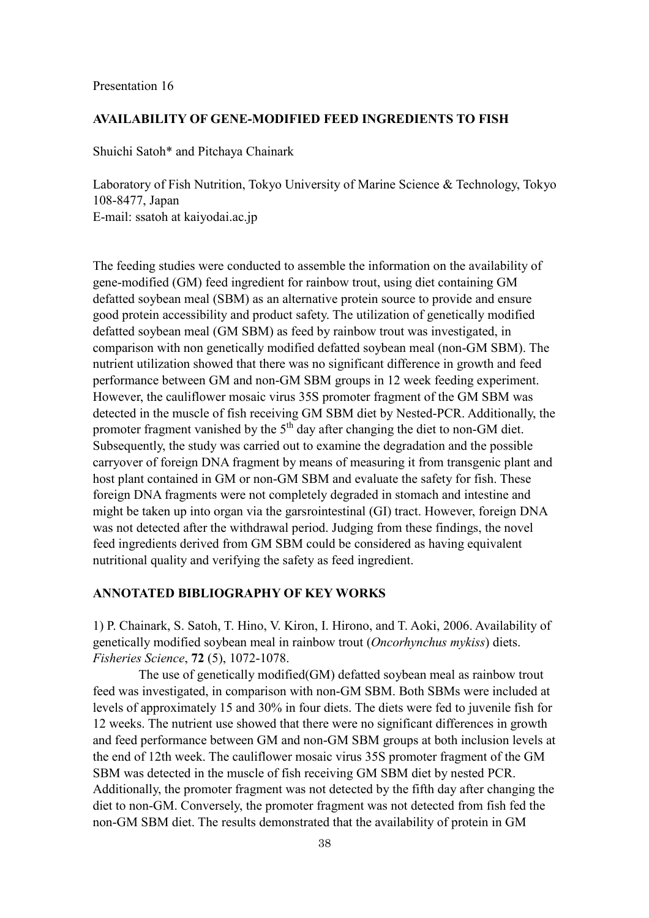#### **AVAILABILITY OF GENE-MODIFIED FEED INGREDIENTS TO FISH**

Shuichi Satoh\* and Pitchaya Chainark

Laboratory of Fish Nutrition, Tokyo University of Marine Science & Technology, Tokyo 108-8477, Japan E-mail: ssatoh at kaiyodai.ac.jp

The feeding studies were conducted to assemble the information on the availability of gene-modified (GM) feed ingredient for rainbow trout, using diet containing GM defatted soybean meal (SBM) as an alternative protein source to provide and ensure good protein accessibility and product safety. The utilization of genetically modified defatted soybean meal (GM SBM) as feed by rainbow trout was investigated, in comparison with non genetically modified defatted soybean meal (non-GM SBM). The nutrient utilization showed that there was no significant difference in growth and feed performance between GM and non-GM SBM groups in 12 week feeding experiment. However, the cauliflower mosaic virus 35S promoter fragment of the GM SBM was detected in the muscle of fish receiving GM SBM diet by Nested-PCR. Additionally, the promoter fragment vanished by the 5<sup>th</sup> day after changing the diet to non-GM diet. Subsequently, the study was carried out to examine the degradation and the possible carryover of foreign DNA fragment by means of measuring it from transgenic plant and host plant contained in GM or non-GM SBM and evaluate the safety for fish. These foreign DNA fragments were not completely degraded in stomach and intestine and might be taken up into organ via the garsrointestinal (GI) tract. However, foreign DNA was not detected after the withdrawal period. Judging from these findings, the novel feed ingredients derived from GM SBM could be considered as having equivalent nutritional quality and verifying the safety as feed ingredient.

## **ANNOTATED BIBLIOGRAPHY OF KEY WORKS**

1) P. Chainark, S. Satoh, T. Hino, V. Kiron, I. Hirono, and T. Aoki, 2006. Availability of genetically modified soybean meal in rainbow trout (*Oncorhynchus mykiss*) diets. *Fisheries Science*, **72** (5), 1072-1078.

The use of genetically modified(GM) defatted soybean meal as rainbow trout feed was investigated, in comparison with non-GM SBM. Both SBMs were included at levels of approximately 15 and 30% in four diets. The diets were fed to juvenile fish for 12 weeks. The nutrient use showed that there were no significant differences in growth and feed performance between GM and non-GM SBM groups at both inclusion levels at the end of 12th week. The cauliflower mosaic virus 35S promoter fragment of the GM SBM was detected in the muscle of fish receiving GM SBM diet by nested PCR. Additionally, the promoter fragment was not detected by the fifth day after changing the diet to non-GM. Conversely, the promoter fragment was not detected from fish fed the non-GM SBM diet. The results demonstrated that the availability of protein in GM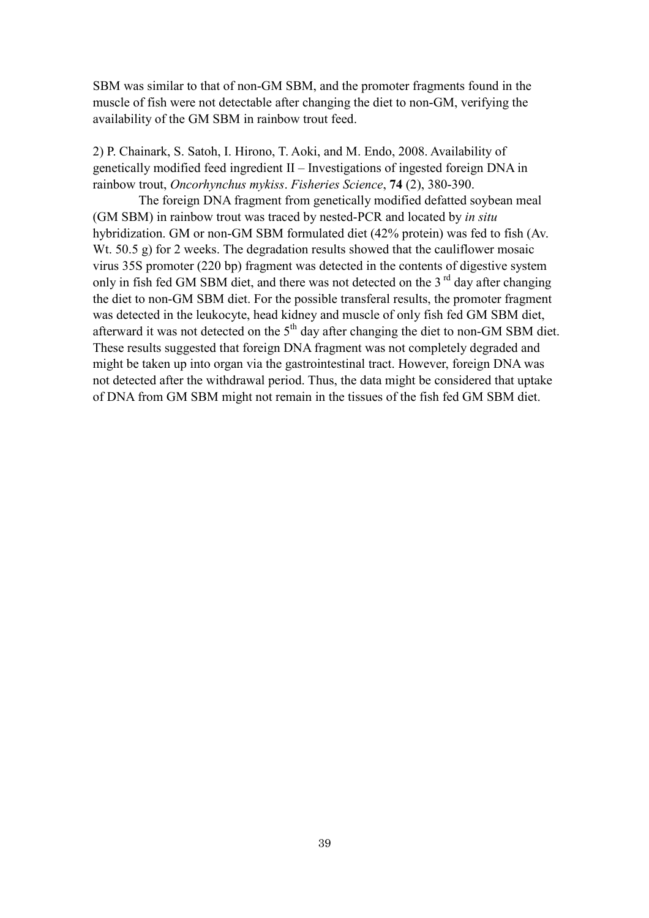SBM was similar to that of non-GM SBM, and the promoter fragments found in the muscle of fish were not detectable after changing the diet to non-GM, verifying the availability of the GM SBM in rainbow trout feed.

2) P. Chainark, S. Satoh, I. Hirono, T. Aoki, and M. Endo, 2008. Availability of genetically modified feed ingredient II – Investigations of ingested foreign DNA in rainbow trout, *Oncorhynchus mykiss*. *Fisheries Science*, **74** (2), 380-390.

The foreign DNA fragment from genetically modified defatted soybean meal (GM SBM) in rainbow trout was traced by nested-PCR and located by *in situ* hybridization. GM or non-GM SBM formulated diet (42% protein) was fed to fish (Av. Wt. 50.5 g) for 2 weeks. The degradation results showed that the cauliflower mosaic virus 35S promoter (220 bp) fragment was detected in the contents of digestive system only in fish fed GM SBM diet, and there was not detected on the  $3<sup>rd</sup>$  day after changing the diet to non-GM SBM diet. For the possible transferal results, the promoter fragment was detected in the leukocyte, head kidney and muscle of only fish fed GM SBM diet, afterward it was not detected on the 5<sup>th</sup> day after changing the diet to non-GM SBM diet. These results suggested that foreign DNA fragment was not completely degraded and might be taken up into organ via the gastrointestinal tract. However, foreign DNA was not detected after the withdrawal period. Thus, the data might be considered that uptake of DNA from GM SBM might not remain in the tissues of the fish fed GM SBM diet.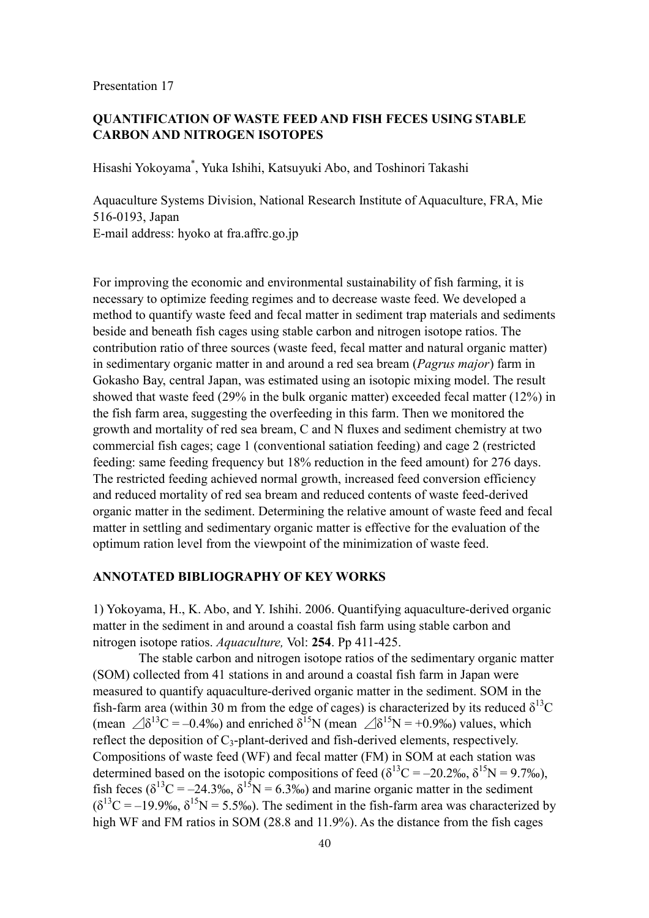## **QUANTIFICATION OF WASTE FEED AND FISH FECES USING STABLE CARBON AND NITROGEN ISOTOPES**

Hisashi Yokoyama\* , Yuka Ishihi, Katsuyuki Abo, and Toshinori Takashi

Aquaculture Systems Division, National Research Institute of Aquaculture, FRA, Mie 516-0193, Japan E-mail address: hyoko at fra.affrc.go.jp

For improving the economic and environmental sustainability of fish farming, it is necessary to optimize feeding regimes and to decrease waste feed. We developed a method to quantify waste feed and fecal matter in sediment trap materials and sediments beside and beneath fish cages using stable carbon and nitrogen isotope ratios. The contribution ratio of three sources (waste feed, fecal matter and natural organic matter) in sedimentary organic matter in and around a red sea bream (*Pagrus major*) farm in Gokasho Bay, central Japan, was estimated using an isotopic mixing model. The result showed that waste feed (29% in the bulk organic matter) exceeded fecal matter (12%) in the fish farm area, suggesting the overfeeding in this farm. Then we monitored the growth and mortality of red sea bream, C and N fluxes and sediment chemistry at two commercial fish cages; cage 1 (conventional satiation feeding) and cage 2 (restricted feeding: same feeding frequency but 18% reduction in the feed amount) for 276 days. The restricted feeding achieved normal growth, increased feed conversion efficiency and reduced mortality of red sea bream and reduced contents of waste feed-derived organic matter in the sediment. Determining the relative amount of waste feed and fecal matter in settling and sedimentary organic matter is effective for the evaluation of the optimum ration level from the viewpoint of the minimization of waste feed.

## **ANNOTATED BIBLIOGRAPHY OF KEY WORKS**

1) Yokoyama, H., K. Abo, and Y. Ishihi. 2006. Quantifying aquaculture-derived organic matter in the sediment in and around a coastal fish farm using stable carbon and nitrogen isotope ratios. *Aquaculture,* Vol: **254**. Pp 411-425.

The stable carbon and nitrogen isotope ratios of the sedimentary organic matter (SOM) collected from 41 stations in and around a coastal fish farm in Japan were measured to quantify aquaculture-derived organic matter in the sediment. SOM in the fish-farm area (within 30 m from the edge of cages) is characterized by its reduced  $\delta^{13}$ C (mean  $\triangle \delta^{13}C = -0.4\%$ ) and enriched  $\delta^{15}N$  (mean  $\triangle \delta^{15}N = +0.9\%$ ) values, which reflect the deposition of  $C_3$ -plant-derived and fish-derived elements, respectively. Compositions of waste feed (WF) and fecal matter (FM) in SOM at each station was determined based on the isotopic compositions of feed ( $\delta^{13}C = -20.2\%$ ,  $\delta^{15}N = 9.7\%$ ), fish feces ( $\delta^{13}C = -24.3\%$ ,  $\delta^{15}N = 6.3\%$ ) and marine organic matter in the sediment  $(\delta^{13}C = -19.9\%$ ,  $\delta^{15}N = 5.5\%$ ). The sediment in the fish-farm area was characterized by high WF and FM ratios in SOM (28.8 and 11.9%). As the distance from the fish cages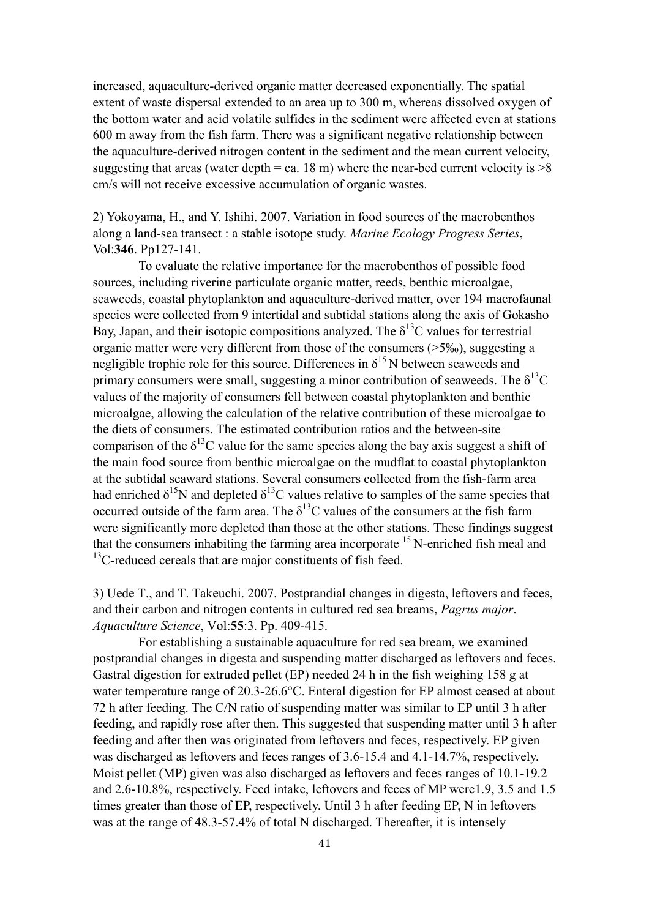increased, aquaculture-derived organic matter decreased exponentially. The spatial extent of waste dispersal extended to an area up to 300 m, whereas dissolved oxygen of the bottom water and acid volatile sulfides in the sediment were affected even at stations 600 m away from the fish farm. There was a significant negative relationship between the aquaculture-derived nitrogen content in the sediment and the mean current velocity, suggesting that areas (water depth = ca. 18 m) where the near-bed current velocity is  $>8$ cm/s will not receive excessive accumulation of organic wastes.

2) Yokoyama, H., and Y. Ishihi. 2007. Variation in food sources of the macrobenthos along a land-sea transect : a stable isotope study. *Marine Ecology Progress Series*, Vol:**346**. Pp127-141.

To evaluate the relative importance for the macrobenthos of possible food sources, including riverine particulate organic matter, reeds, benthic microalgae, seaweeds, coastal phytoplankton and aquaculture-derived matter, over 194 macrofaunal species were collected from 9 intertidal and subtidal stations along the axis of Gokasho Bay, Japan, and their isotopic compositions analyzed. The  $\delta^{13}$ C values for terrestrial organic matter were very different from those of the consumers (>5‰), suggesting a negligible trophic role for this source. Differences in  $\delta^{15}$  N between seaweeds and primary consumers were small, suggesting a minor contribution of seaweeds. The  $\delta^{13}C$ values of the majority of consumers fell between coastal phytoplankton and benthic microalgae, allowing the calculation of the relative contribution of these microalgae to the diets of consumers. The estimated contribution ratios and the between-site comparison of the  $\delta^{13}$ C value for the same species along the bay axis suggest a shift of the main food source from benthic microalgae on the mudflat to coastal phytoplankton at the subtidal seaward stations. Several consumers collected from the fish-farm area had enriched  $\delta^{15}N$  and depleted  $\delta^{13}C$  values relative to samples of the same species that occurred outside of the farm area. The  $\delta^{13}$ C values of the consumers at the fish farm were significantly more depleted than those at the other stations. These findings suggest that the consumers inhabiting the farming area incorporate  $15$  N-enriched fish meal and  $13$ C-reduced cereals that are major constituents of fish feed.

3) Uede T., and T. Takeuchi. 2007. Postprandial changes in digesta, leftovers and feces, and their carbon and nitrogen contents in cultured red sea breams, *Pagrus major*. *Aquaculture Science*, Vol:**55**:3. Pp. 409-415.

For establishing a sustainable aquaculture for red sea bream, we examined postprandial changes in digesta and suspending matter discharged as leftovers and feces. Gastral digestion for extruded pellet (EP) needed 24 h in the fish weighing 158 g at water temperature range of 20.3-26.6°C. Enteral digestion for EP almost ceased at about 72 h after feeding. The C/N ratio of suspending matter was similar to EP until 3 h after feeding, and rapidly rose after then. This suggested that suspending matter until 3 h after feeding and after then was originated from leftovers and feces, respectively. EP given was discharged as leftovers and feces ranges of 3.6-15.4 and 4.1-14.7%, respectively. Moist pellet (MP) given was also discharged as leftovers and feces ranges of 10.1-19.2 and 2.6-10.8%, respectively. Feed intake, leftovers and feces of MP were1.9, 3.5 and 1.5 times greater than those of EP, respectively. Until 3 h after feeding EP, N in leftovers was at the range of 48.3-57.4% of total N discharged. Thereafter, it is intensely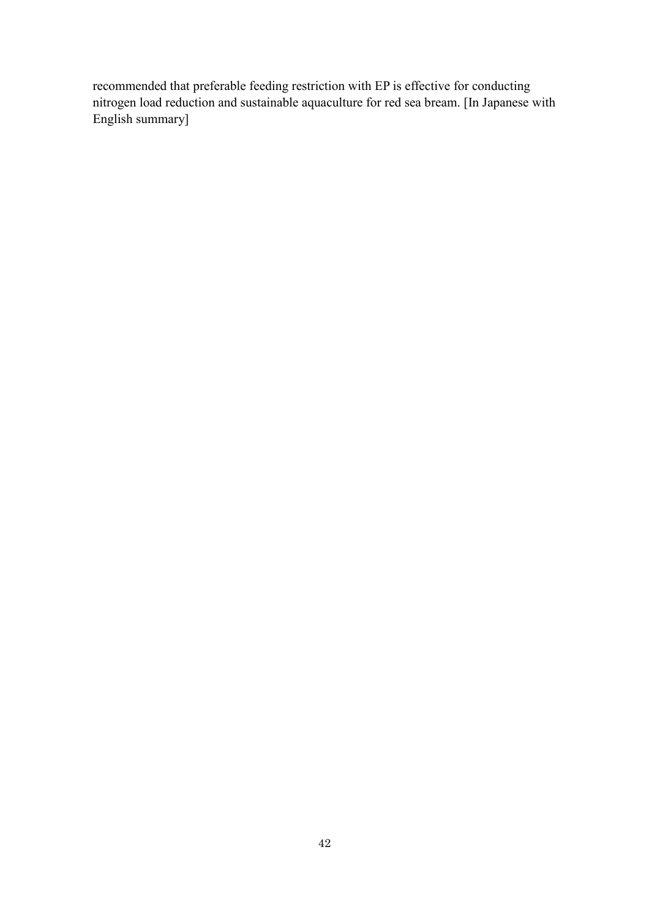recommended that preferable feeding restriction with EP is effective for conducting nitrogen load reduction and sustainable aquaculture for red sea bream. [In Japanese with English summary]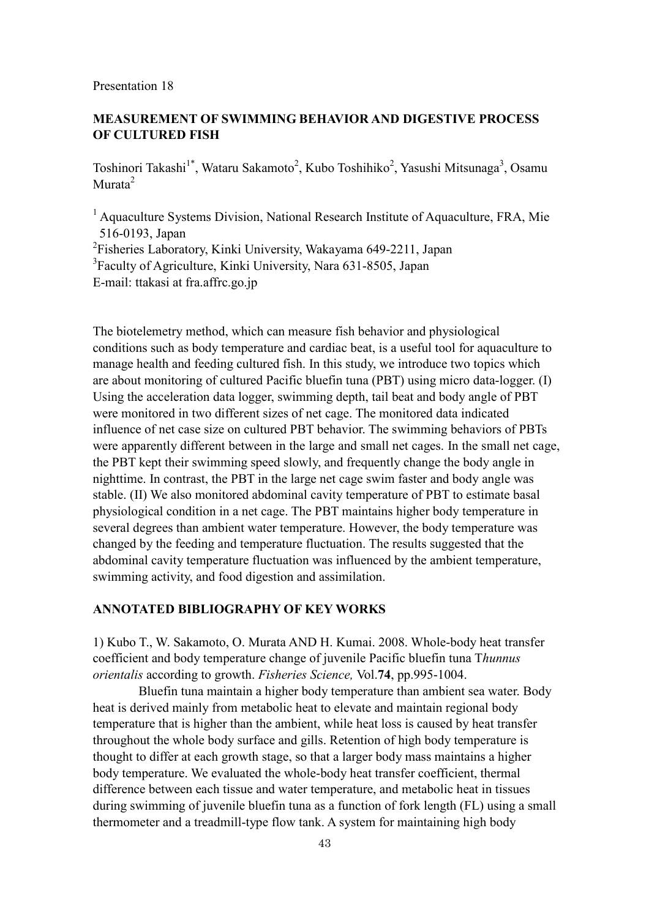## **MEASUREMENT OF SWIMMING BEHAVIOR AND DIGESTIVE PROCESS OF CULTURED FISH**

Toshinori Takashi<sup>1\*</sup>, Wataru Sakamoto<sup>2</sup>, Kubo Toshihiko<sup>2</sup>, Yasushi Mitsunaga<sup>3</sup>, Osamu Murata<sup>2</sup>

<sup>1</sup> Aquaculture Systems Division, National Research Institute of Aquaculture, FRA, Mie 516-0193, Japan <sup>2</sup>Fisheries Laboratory, Kinki University, Wakayama 649-2211, Japan

<sup>3</sup> Faculty of Agriculture, Kinki University, Nara 631-8505, Japan E-mail: ttakasi at fra.affrc.go.jp

The biotelemetry method, which can measure fish behavior and physiological conditions such as body temperature and cardiac beat, is a useful tool for aquaculture to manage health and feeding cultured fish. In this study, we introduce two topics which are about monitoring of cultured Pacific bluefin tuna (PBT) using micro data-logger. (I) Using the acceleration data logger, swimming depth, tail beat and body angle of PBT were monitored in two different sizes of net cage. The monitored data indicated influence of net case size on cultured PBT behavior. The swimming behaviors of PBTs were apparently different between in the large and small net cages. In the small net cage, the PBT kept their swimming speed slowly, and frequently change the body angle in nighttime. In contrast, the PBT in the large net cage swim faster and body angle was stable. (II) We also monitored abdominal cavity temperature of PBT to estimate basal physiological condition in a net cage. The PBT maintains higher body temperature in several degrees than ambient water temperature. However, the body temperature was changed by the feeding and temperature fluctuation. The results suggested that the abdominal cavity temperature fluctuation was influenced by the ambient temperature, swimming activity, and food digestion and assimilation.

## **ANNOTATED BIBLIOGRAPHY OF KEY WORKS**

1) Kubo T., W. Sakamoto, O. Murata AND H. Kumai. 2008. Whole-body heat transfer coefficient and body temperature change of juvenile Pacific bluefin tuna T*hunnus orientalis* according to growth. *Fisheries Science,* Vol.**74**, pp.995-1004.

Bluefin tuna maintain a higher body temperature than ambient sea water. Body heat is derived mainly from metabolic heat to elevate and maintain regional body temperature that is higher than the ambient, while heat loss is caused by heat transfer throughout the whole body surface and gills. Retention of high body temperature is thought to differ at each growth stage, so that a larger body mass maintains a higher body temperature. We evaluated the whole-body heat transfer coefficient, thermal difference between each tissue and water temperature, and metabolic heat in tissues during swimming of juvenile bluefin tuna as a function of fork length (FL) using a small thermometer and a treadmill-type flow tank. A system for maintaining high body